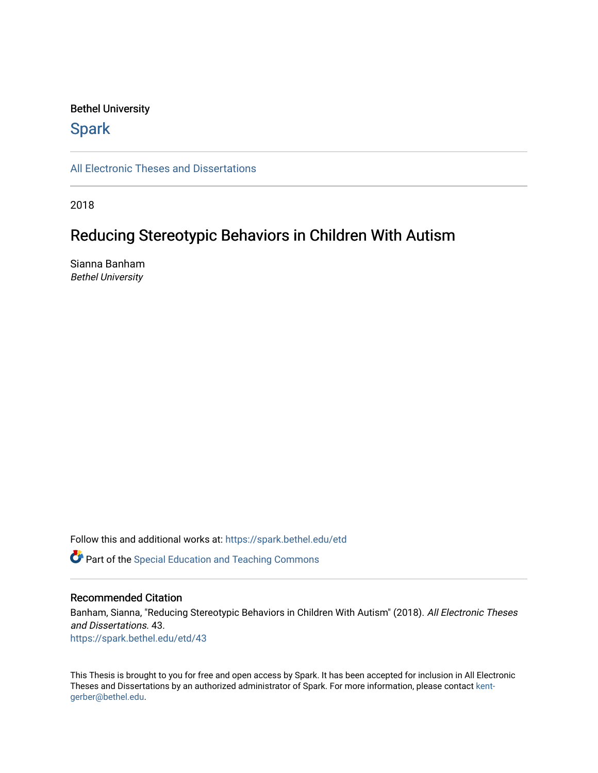# Bethel University

# **Spark**

[All Electronic Theses and Dissertations](https://spark.bethel.edu/etd) 

2018

# Reducing Stereotypic Behaviors in Children With Autism

Sianna Banham Bethel University

Follow this and additional works at: [https://spark.bethel.edu/etd](https://spark.bethel.edu/etd?utm_source=spark.bethel.edu%2Fetd%2F43&utm_medium=PDF&utm_campaign=PDFCoverPages)

**C** Part of the Special Education and Teaching Commons

# Recommended Citation

Banham, Sianna, "Reducing Stereotypic Behaviors in Children With Autism" (2018). All Electronic Theses and Dissertations. 43. [https://spark.bethel.edu/etd/43](https://spark.bethel.edu/etd/43?utm_source=spark.bethel.edu%2Fetd%2F43&utm_medium=PDF&utm_campaign=PDFCoverPages) 

This Thesis is brought to you for free and open access by Spark. It has been accepted for inclusion in All Electronic Theses and Dissertations by an authorized administrator of Spark. For more information, please contact [kent](mailto:kent-gerber@bethel.edu)[gerber@bethel.edu.](mailto:kent-gerber@bethel.edu)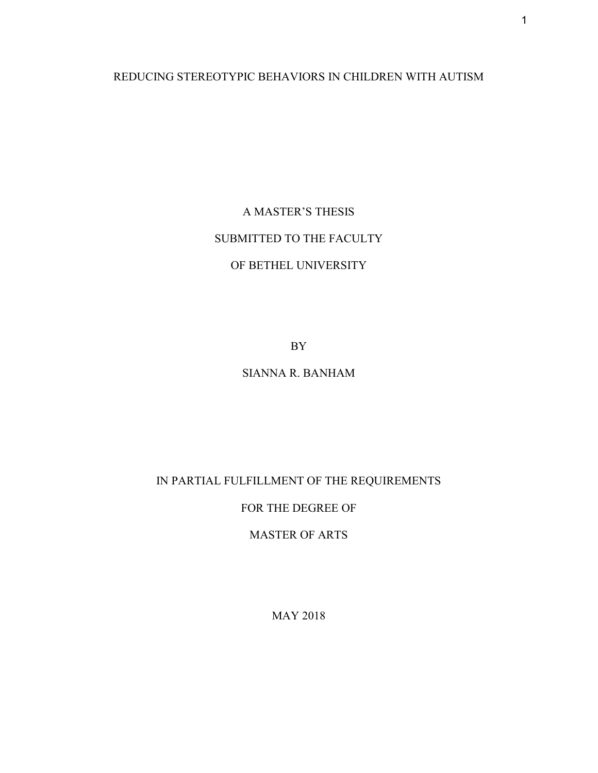REDUCING STEREOTYPIC BEHAVIORS IN CHILDREN WITH AUTISM

A MASTER'S THESIS SUBMITTED TO THE FACULTY OF BETHEL UNIVERSITY

BY

# SIANNA R. BANHAM

IN PARTIAL FULFILLMENT OF THE REQUIREMENTS

FOR THE DEGREE OF

MASTER OF ARTS

MAY 2018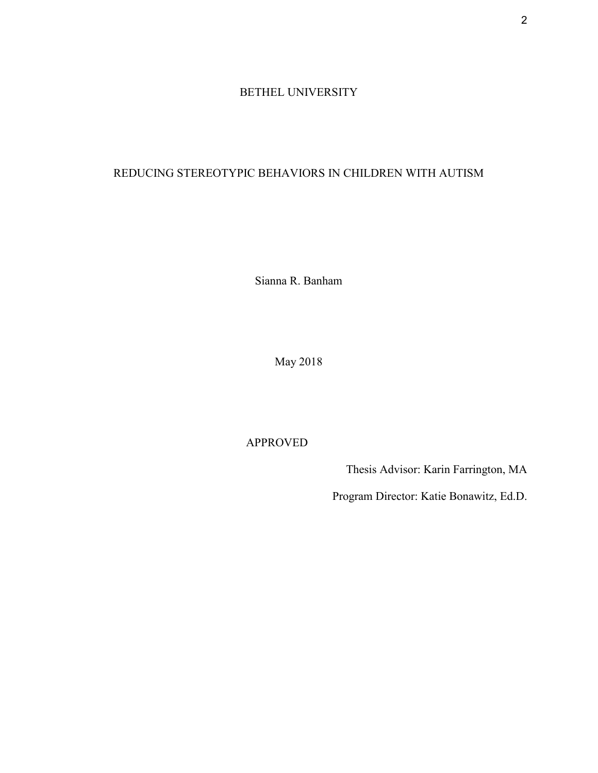# BETHEL UNIVERSITY

# REDUCING STEREOTYPIC BEHAVIORS IN CHILDREN WITH AUTISM

Sianna R. Banham

May 2018

# APPROVED

Thesis Advisor: Karin Farrington, MA

Program Director: Katie Bonawitz, Ed.D.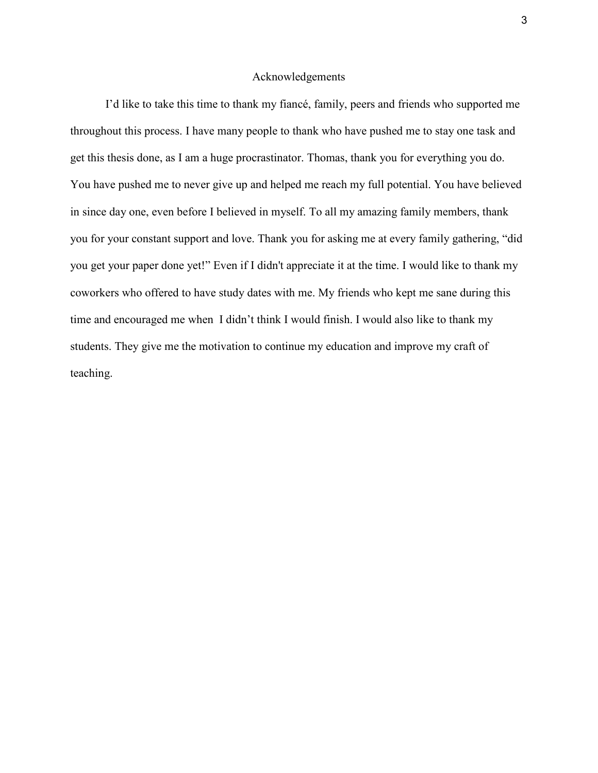#### Acknowledgements

I'd like to take this time to thank my fiancé, family, peers and friends who supported me throughout this process. I have many people to thank who have pushed me to stay one task and get this thesis done, as I am a huge procrastinator. Thomas, thank you for everything you do. You have pushed me to never give up and helped me reach my full potential. You have believed in since day one, even before I believed in myself. To all my amazing family members, thank you for your constant support and love. Thank you for asking me at every family gathering, "did you get your paper done yet!" Even if I didn't appreciate it at the time. I would like to thank my coworkers who offered to have study dates with me. My friends who kept me sane during this time and encouraged me when I didn't think I would finish. I would also like to thank my students. They give me the motivation to continue my education and improve my craft of teaching.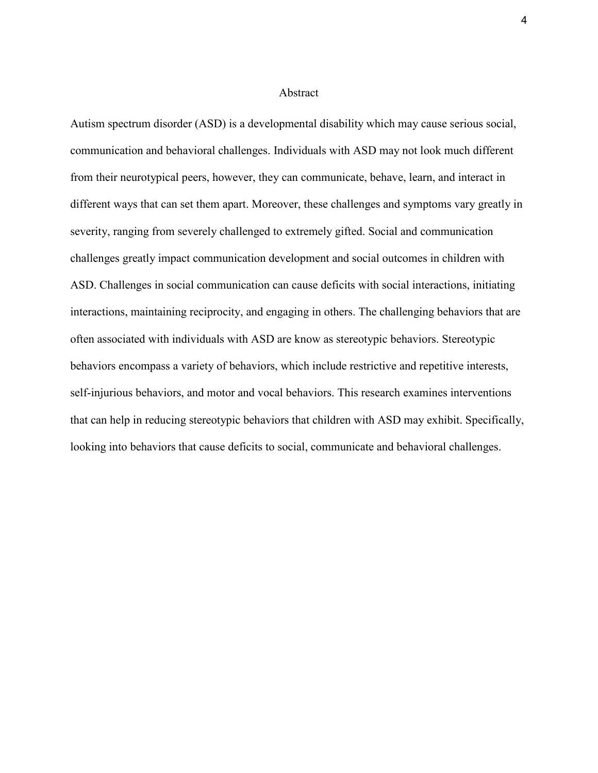#### Abstract

Autism spectrum disorder (ASD) is a developmental disability which may cause serious social, communication and behavioral challenges. Individuals with ASD may not look much different from their neurotypical peers, however, they can communicate, behave, learn, and interact in different ways that can set them apart. Moreover, these challenges and symptoms vary greatly in severity, ranging from severely challenged to extremely gifted. Social and communication challenges greatly impact communication development and social outcomes in children with ASD. Challenges in social communication can cause deficits with social interactions, initiating interactions, maintaining reciprocity, and engaging in others. The challenging behaviors that are often associated with individuals with ASD are know as stereotypic behaviors. Stereotypic behaviors encompass a variety of behaviors, which include restrictive and repetitive interests, self-injurious behaviors, and motor and vocal behaviors. This research examines interventions that can help in reducing stereotypic behaviors that children with ASD may exhibit. Specifically, looking into behaviors that cause deficits to social, communicate and behavioral challenges.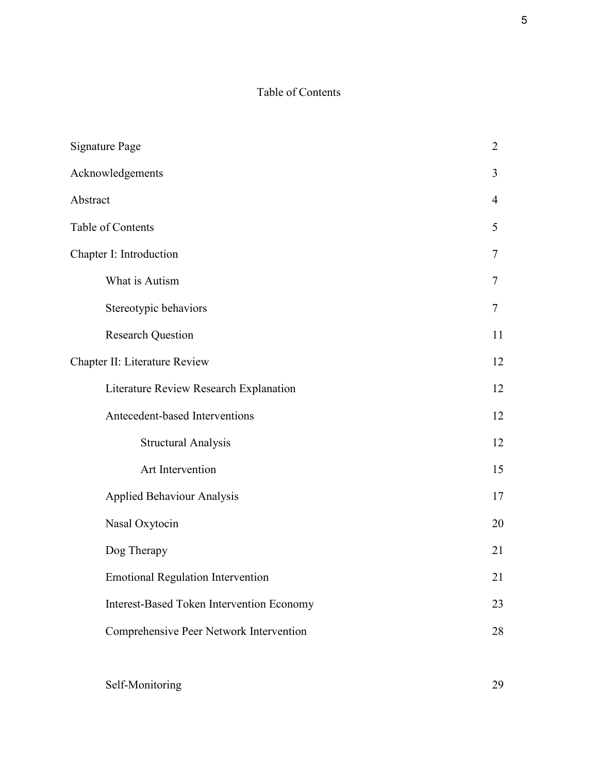# Table of Contents

| <b>Signature Page</b>                     | $\overline{2}$ |
|-------------------------------------------|----------------|
| Acknowledgements                          | 3              |
| Abstract                                  | 4              |
| Table of Contents                         | 5              |
| Chapter I: Introduction                   | 7              |
| What is Autism                            | 7              |
| Stereotypic behaviors                     | 7              |
| <b>Research Question</b>                  | 11             |
| Chapter II: Literature Review             |                |
| Literature Review Research Explanation    | 12             |
| Antecedent-based Interventions            | 12             |
| <b>Structural Analysis</b>                | 12             |
| Art Intervention                          | 15             |
| <b>Applied Behaviour Analysis</b>         | 17             |
| Nasal Oxytocin                            | 20             |
| Dog Therapy                               | 21             |
| <b>Emotional Regulation Intervention</b>  | 21             |
| Interest-Based Token Intervention Economy | 23             |
| Comprehensive Peer Network Intervention   | 28             |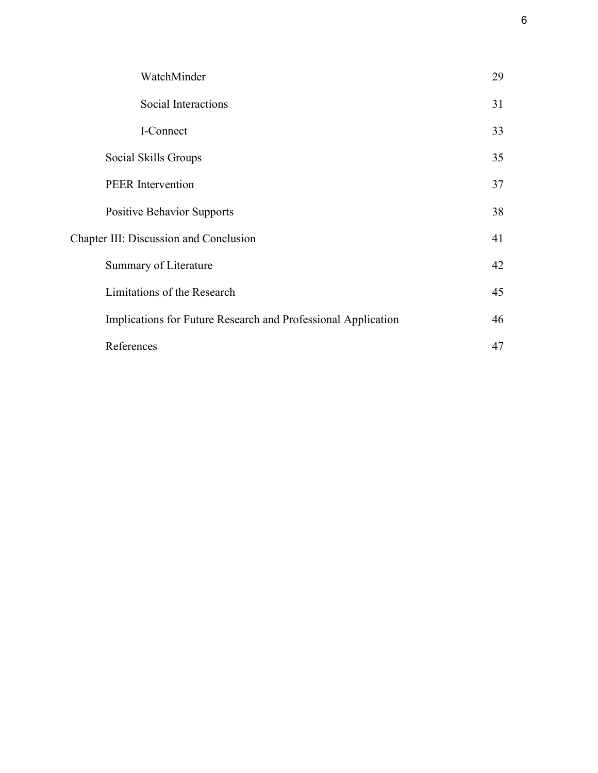| WatchMinder                                                   | 29 |
|---------------------------------------------------------------|----|
| Social Interactions                                           | 31 |
| I-Connect                                                     | 33 |
| Social Skills Groups                                          | 35 |
| <b>PEER</b> Intervention                                      | 37 |
| <b>Positive Behavior Supports</b>                             | 38 |
| Chapter III: Discussion and Conclusion                        | 41 |
| Summary of Literature                                         | 42 |
| Limitations of the Research                                   | 45 |
| Implications for Future Research and Professional Application | 46 |
| References                                                    | 47 |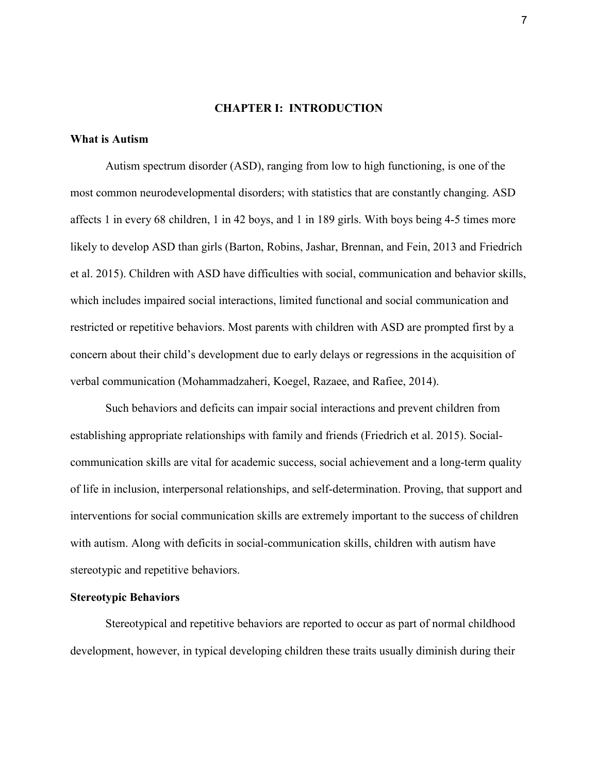# **CHAPTER I: INTRODUCTION**

### **What is Autism**

Autism spectrum disorder (ASD), ranging from low to high functioning, is one of the most common neurodevelopmental disorders; with statistics that are constantly changing. ASD affects 1 in every 68 children, 1 in 42 boys, and 1 in 189 girls. With boys being 4-5 times more likely to develop ASD than girls (Barton, Robins, Jashar, Brennan, and Fein, 2013 and Friedrich et al. 2015). Children with ASD have difficulties with social, communication and behavior skills, which includes impaired social interactions, limited functional and social communication and restricted or repetitive behaviors. Most parents with children with ASD are prompted first by a concern about their child's development due to early delays or regressions in the acquisition of verbal communication (Mohammadzaheri, Koegel, Razaee, and Rafiee, 2014).

Such behaviors and deficits can impair social interactions and prevent children from establishing appropriate relationships with family and friends (Friedrich et al. 2015). Socialcommunication skills are vital for academic success, social achievement and a long-term quality of life in inclusion, interpersonal relationships, and self-determination. Proving, that support and interventions for social communication skills are extremely important to the success of children with autism. Along with deficits in social-communication skills, children with autism have stereotypic and repetitive behaviors.

# **Stereotypic Behaviors**

Stereotypical and repetitive behaviors are reported to occur as part of normal childhood development, however, in typical developing children these traits usually diminish during their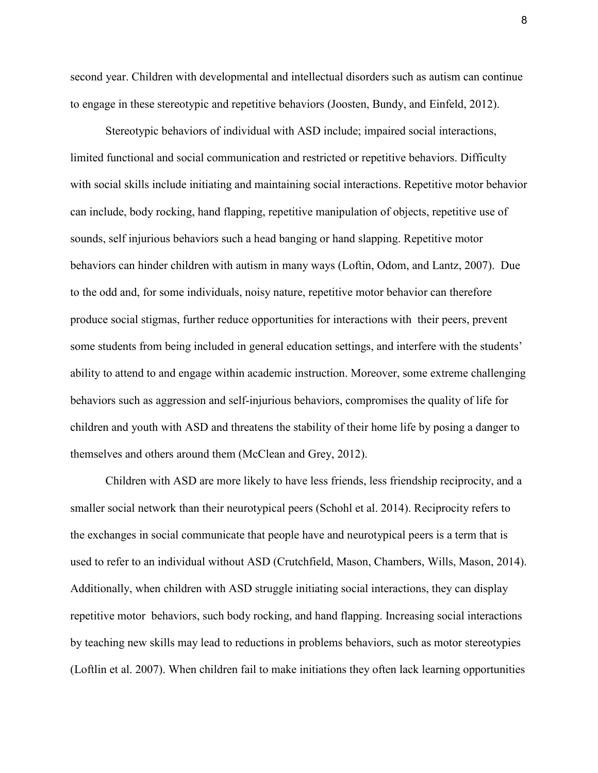second year. Children with developmental and intellectual disorders such as autism can continue to engage in these stereotypic and repetitive behaviors (Joosten, Bundy, and Einfeld, 2012).

Stereotypic behaviors of individual with ASD include; impaired social interactions, limited functional and social communication and restricted or repetitive behaviors. Difficulty with social skills include initiating and maintaining social interactions. Repetitive motor behavior can include, body rocking, hand flapping, repetitive manipulation of objects, repetitive use of sounds, self injurious behaviors such a head banging or hand slapping. Repetitive motor behaviors can hinder children with autism in many ways (Loftin, Odom, and Lantz, 2007). Due to the odd and, for some individuals, noisy nature, repetitive motor behavior can therefore produce social stigmas, further reduce opportunities for interactions with their peers, prevent some students from being included in general education settings, and interfere with the students' ability to attend to and engage within academic instruction. Moreover, some extreme challenging behaviors such as aggression and self-injurious behaviors, compromises the quality of life for children and youth with ASD and threatens the stability of their home life by posing a danger to themselves and others around them (McClean and Grey, 2012).

Children with ASD are more likely to have less friends, less friendship reciprocity, and a smaller social network than their neurotypical peers (Schohl et al. 2014). Reciprocity refers to the exchanges in social communicate that people have and neurotypical peers is a term that is used to refer to an individual without ASD (Crutchfield, Mason, Chambers, Wills, Mason, 2014). Additionally, when children with ASD struggle initiating social interactions, they can display repetitive motor behaviors, such body rocking, and hand flapping. Increasing social interactions by teaching new skills may lead to reductions in problems behaviors, such as motor stereotypies (Loftlin et al. 2007). When children fail to make initiations they often lack learning opportunities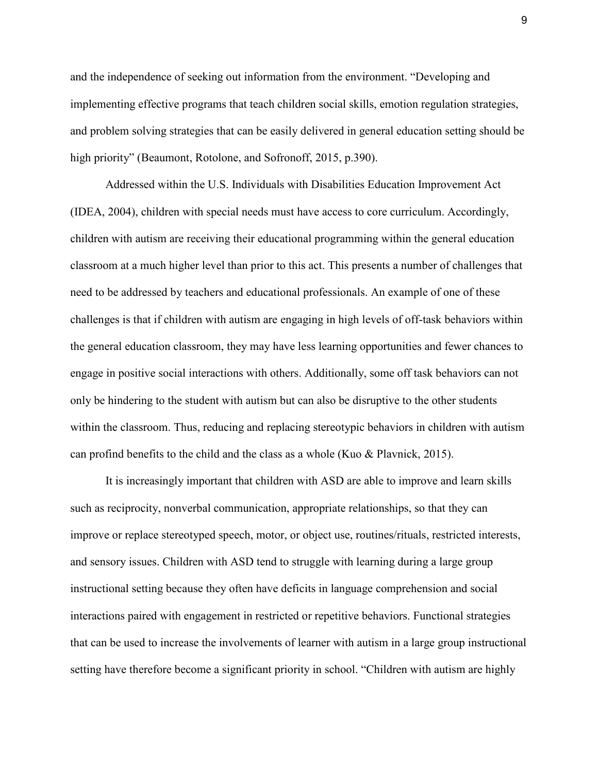and the independence of seeking out information from the environment. "Developing and implementing effective programs that teach children social skills, emotion regulation strategies, and problem solving strategies that can be easily delivered in general education setting should be high priority" (Beaumont, Rotolone, and Sofronoff, 2015, p.390).

Addressed within the U.S. Individuals with Disabilities Education Improvement Act (IDEA, 2004), children with special needs must have access to core curriculum. Accordingly, children with autism are receiving their educational programming within the general education classroom at a much higher level than prior to this act. This presents a number of challenges that need to be addressed by teachers and educational professionals. An example of one of these challenges is that if children with autism are engaging in high levels of off-task behaviors within the general education classroom, they may have less learning opportunities and fewer chances to engage in positive social interactions with others. Additionally, some off task behaviors can not only be hindering to the student with autism but can also be disruptive to the other students within the classroom. Thus, reducing and replacing stereotypic behaviors in children with autism can profind benefits to the child and the class as a whole (Kuo & Plavnick, 2015).

It is increasingly important that children with ASD are able to improve and learn skills such as reciprocity, nonverbal communication, appropriate relationships, so that they can improve or replace stereotyped speech, motor, or object use, routines/rituals, restricted interests, and sensory issues. Children with ASD tend to struggle with learning during a large group instructional setting because they often have deficits in language comprehension and social interactions paired with engagement in restricted or repetitive behaviors. Functional strategies that can be used to increase the involvements of learner with autism in a large group instructional setting have therefore become a significant priority in school. "Children with autism are highly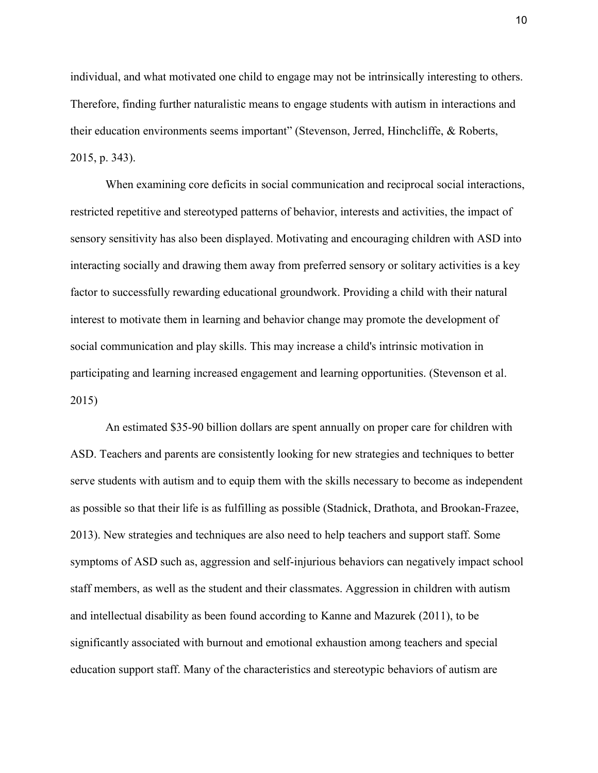individual, and what motivated one child to engage may not be intrinsically interesting to others. Therefore, finding further naturalistic means to engage students with autism in interactions and their education environments seems important" (Stevenson, Jerred, Hinchcliffe, & Roberts, 2015, p. 343).

When examining core deficits in social communication and reciprocal social interactions, restricted repetitive and stereotyped patterns of behavior, interests and activities, the impact of sensory sensitivity has also been displayed. Motivating and encouraging children with ASD into interacting socially and drawing them away from preferred sensory or solitary activities is a key factor to successfully rewarding educational groundwork. Providing a child with their natural interest to motivate them in learning and behavior change may promote the development of social communication and play skills. This may increase a child's intrinsic motivation in participating and learning increased engagement and learning opportunities. (Stevenson et al. 2015)

An estimated \$35-90 billion dollars are spent annually on proper care for children with ASD. Teachers and parents are consistently looking for new strategies and techniques to better serve students with autism and to equip them with the skills necessary to become as independent as possible so that their life is as fulfilling as possible (Stadnick, Drathota, and Brookan-Frazee, 2013). New strategies and techniques are also need to help teachers and support staff. Some symptoms of ASD such as, aggression and self-injurious behaviors can negatively impact school staff members, as well as the student and their classmates. Aggression in children with autism and intellectual disability as been found according to Kanne and Mazurek (2011), to be significantly associated with burnout and emotional exhaustion among teachers and special education support staff. Many of the characteristics and stereotypic behaviors of autism are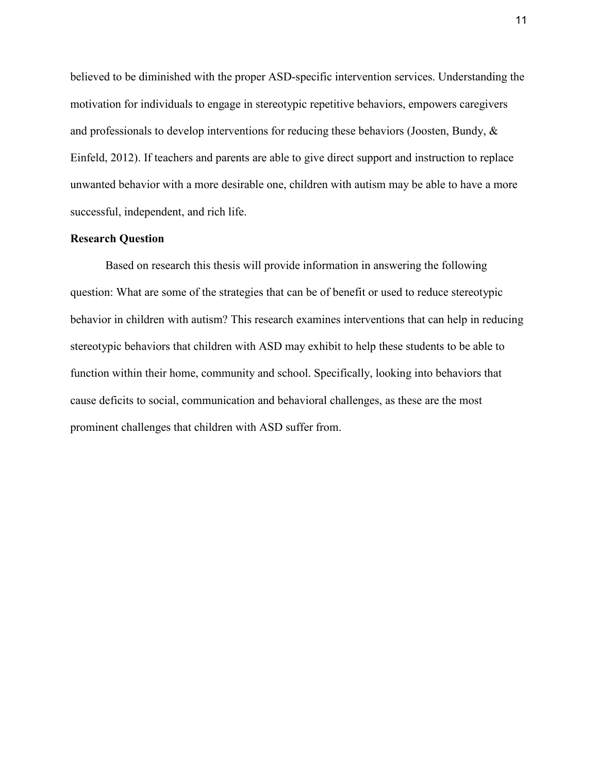believed to be diminished with the proper ASD-specific intervention services. Understanding the motivation for individuals to engage in stereotypic repetitive behaviors, empowers caregivers and professionals to develop interventions for reducing these behaviors (Joosten, Bundy, & Einfeld, 2012). If teachers and parents are able to give direct support and instruction to replace unwanted behavior with a more desirable one, children with autism may be able to have a more successful, independent, and rich life.

# **Research Question**

Based on research this thesis will provide information in answering the following question: What are some of the strategies that can be of benefit or used to reduce stereotypic behavior in children with autism? This research examines interventions that can help in reducing stereotypic behaviors that children with ASD may exhibit to help these students to be able to function within their home, community and school. Specifically, looking into behaviors that cause deficits to social, communication and behavioral challenges, as these are the most prominent challenges that children with ASD suffer from.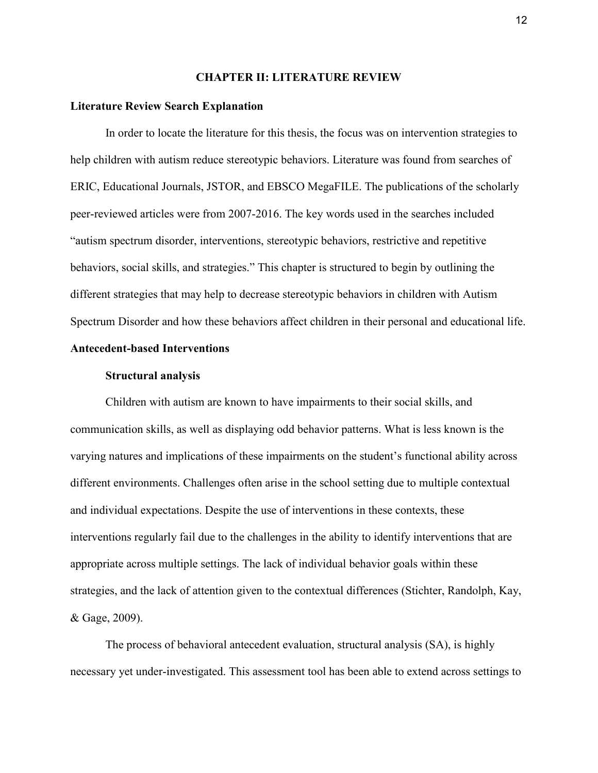#### **CHAPTER II: LITERATURE REVIEW**

#### **Literature Review Search Explanation**

In order to locate the literature for this thesis, the focus was on intervention strategies to help children with autism reduce stereotypic behaviors. Literature was found from searches of ERIC, Educational Journals, JSTOR, and EBSCO MegaFILE. The publications of the scholarly peer-reviewed articles were from 2007-2016. The key words used in the searches included "autism spectrum disorder, interventions, stereotypic behaviors, restrictive and repetitive behaviors, social skills, and strategies." This chapter is structured to begin by outlining the different strategies that may help to decrease stereotypic behaviors in children with Autism Spectrum Disorder and how these behaviors affect children in their personal and educational life.

# **Antecedent-based Interventions**

# **Structural analysis**

 Children with autism are known to have impairments to their social skills, and communication skills, as well as displaying odd behavior patterns. What is less known is the varying natures and implications of these impairments on the student's functional ability across different environments. Challenges often arise in the school setting due to multiple contextual and individual expectations. Despite the use of interventions in these contexts, these interventions regularly fail due to the challenges in the ability to identify interventions that are appropriate across multiple settings. The lack of individual behavior goals within these strategies, and the lack of attention given to the contextual differences (Stichter, Randolph, Kay, & Gage, 2009).

 The process of behavioral antecedent evaluation, structural analysis (SA), is highly necessary yet under-investigated. This assessment tool has been able to extend across settings to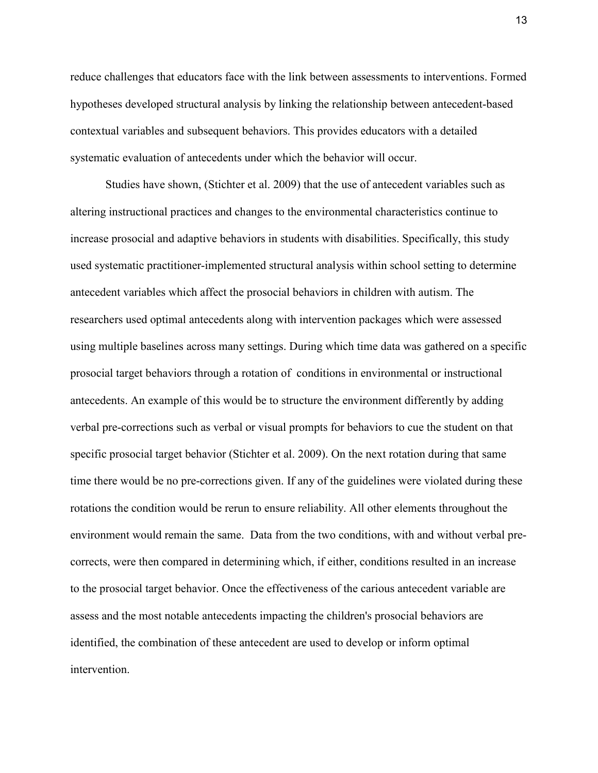reduce challenges that educators face with the link between assessments to interventions. Formed hypotheses developed structural analysis by linking the relationship between antecedent-based contextual variables and subsequent behaviors. This provides educators with a detailed systematic evaluation of antecedents under which the behavior will occur.

Studies have shown, (Stichter et al. 2009) that the use of antecedent variables such as altering instructional practices and changes to the environmental characteristics continue to increase prosocial and adaptive behaviors in students with disabilities. Specifically, this study used systematic practitioner-implemented structural analysis within school setting to determine antecedent variables which affect the prosocial behaviors in children with autism. The researchers used optimal antecedents along with intervention packages which were assessed using multiple baselines across many settings. During which time data was gathered on a specific prosocial target behaviors through a rotation of conditions in environmental or instructional antecedents. An example of this would be to structure the environment differently by adding verbal pre-corrections such as verbal or visual prompts for behaviors to cue the student on that specific prosocial target behavior (Stichter et al. 2009). On the next rotation during that same time there would be no pre-corrections given. If any of the guidelines were violated during these rotations the condition would be rerun to ensure reliability. All other elements throughout the environment would remain the same. Data from the two conditions, with and without verbal precorrects, were then compared in determining which, if either, conditions resulted in an increase to the prosocial target behavior. Once the effectiveness of the carious antecedent variable are assess and the most notable antecedents impacting the children's prosocial behaviors are identified, the combination of these antecedent are used to develop or inform optimal intervention.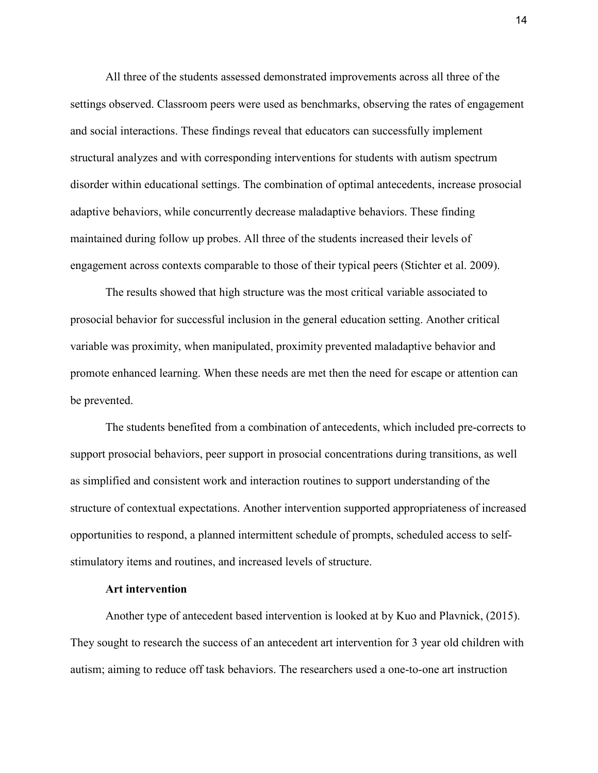All three of the students assessed demonstrated improvements across all three of the settings observed. Classroom peers were used as benchmarks, observing the rates of engagement and social interactions. These findings reveal that educators can successfully implement structural analyzes and with corresponding interventions for students with autism spectrum disorder within educational settings. The combination of optimal antecedents, increase prosocial adaptive behaviors, while concurrently decrease maladaptive behaviors. These finding maintained during follow up probes. All three of the students increased their levels of engagement across contexts comparable to those of their typical peers (Stichter et al. 2009).

The results showed that high structure was the most critical variable associated to prosocial behavior for successful inclusion in the general education setting. Another critical variable was proximity, when manipulated, proximity prevented maladaptive behavior and promote enhanced learning. When these needs are met then the need for escape or attention can be prevented.

The students benefited from a combination of antecedents, which included pre-corrects to support prosocial behaviors, peer support in prosocial concentrations during transitions, as well as simplified and consistent work and interaction routines to support understanding of the structure of contextual expectations. Another intervention supported appropriateness of increased opportunities to respond, a planned intermittent schedule of prompts, scheduled access to selfstimulatory items and routines, and increased levels of structure.

#### **Art intervention**

 Another type of antecedent based intervention is looked at by Kuo and Plavnick, (2015). They sought to research the success of an antecedent art intervention for 3 year old children with autism; aiming to reduce off task behaviors. The researchers used a one-to-one art instruction

14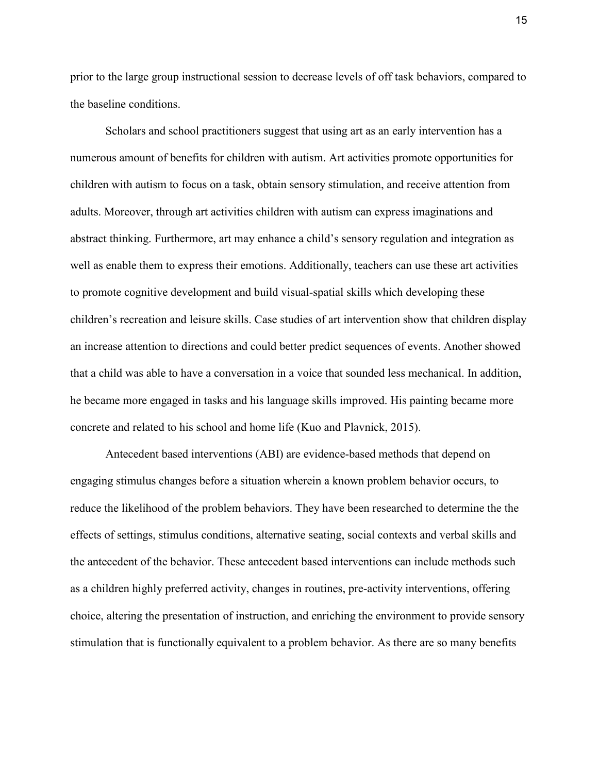prior to the large group instructional session to decrease levels of off task behaviors, compared to the baseline conditions.

 Scholars and school practitioners suggest that using art as an early intervention has a numerous amount of benefits for children with autism. Art activities promote opportunities for children with autism to focus on a task, obtain sensory stimulation, and receive attention from adults. Moreover, through art activities children with autism can express imaginations and abstract thinking. Furthermore, art may enhance a child's sensory regulation and integration as well as enable them to express their emotions. Additionally, teachers can use these art activities to promote cognitive development and build visual-spatial skills which developing these children's recreation and leisure skills. Case studies of art intervention show that children display an increase attention to directions and could better predict sequences of events. Another showed that a child was able to have a conversation in a voice that sounded less mechanical. In addition, he became more engaged in tasks and his language skills improved. His painting became more concrete and related to his school and home life (Kuo and Plavnick, 2015).

Antecedent based interventions (ABI) are evidence-based methods that depend on engaging stimulus changes before a situation wherein a known problem behavior occurs, to reduce the likelihood of the problem behaviors. They have been researched to determine the the effects of settings, stimulus conditions, alternative seating, social contexts and verbal skills and the antecedent of the behavior. These antecedent based interventions can include methods such as a children highly preferred activity, changes in routines, pre-activity interventions, offering choice, altering the presentation of instruction, and enriching the environment to provide sensory stimulation that is functionally equivalent to a problem behavior. As there are so many benefits

15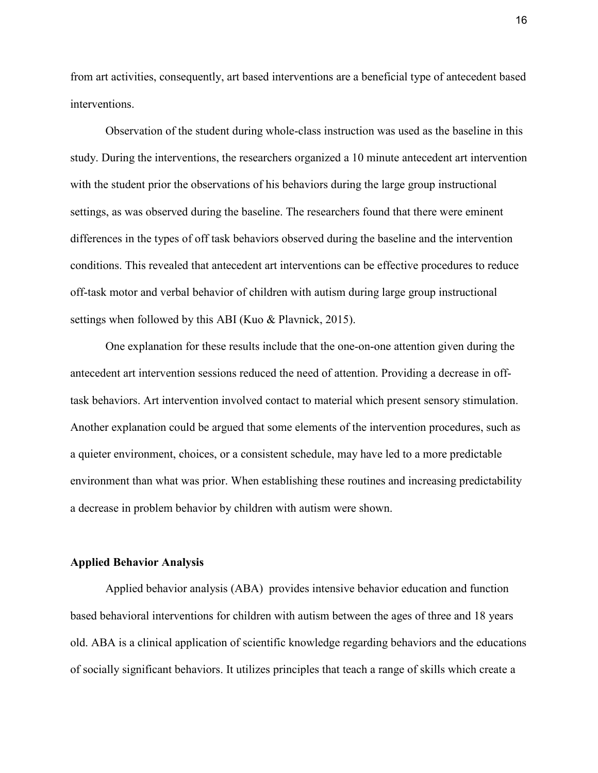from art activities, consequently, art based interventions are a beneficial type of antecedent based interventions.

Observation of the student during whole-class instruction was used as the baseline in this study. During the interventions, the researchers organized a 10 minute antecedent art intervention with the student prior the observations of his behaviors during the large group instructional settings, as was observed during the baseline. The researchers found that there were eminent differences in the types of off task behaviors observed during the baseline and the intervention conditions. This revealed that antecedent art interventions can be effective procedures to reduce off-task motor and verbal behavior of children with autism during large group instructional settings when followed by this ABI (Kuo & Plavnick, 2015).

One explanation for these results include that the one-on-one attention given during the antecedent art intervention sessions reduced the need of attention. Providing a decrease in offtask behaviors. Art intervention involved contact to material which present sensory stimulation. Another explanation could be argued that some elements of the intervention procedures, such as a quieter environment, choices, or a consistent schedule, may have led to a more predictable environment than what was prior. When establishing these routines and increasing predictability a decrease in problem behavior by children with autism were shown.

# **Applied Behavior Analysis**

Applied behavior analysis (ABA) provides intensive behavior education and function based behavioral interventions for children with autism between the ages of three and 18 years old. ABA is a clinical application of scientific knowledge regarding behaviors and the educations of socially significant behaviors. It utilizes principles that teach a range of skills which create a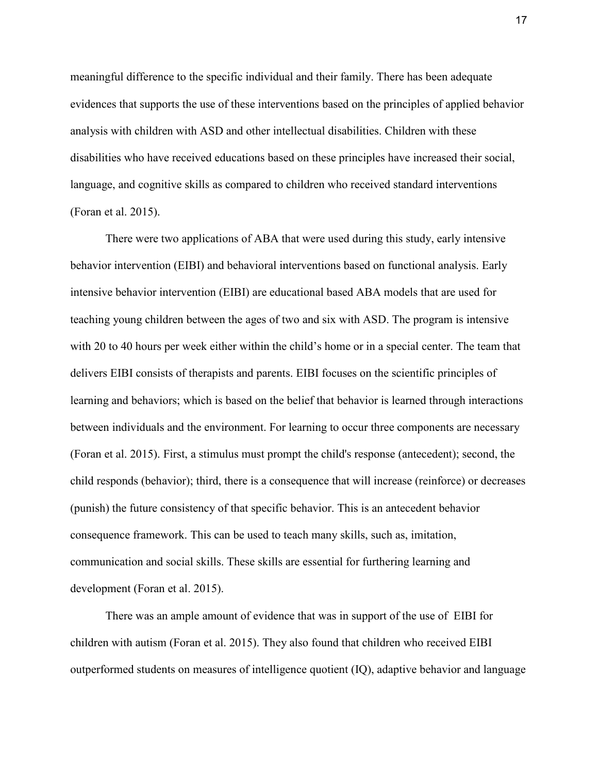meaningful difference to the specific individual and their family. There has been adequate evidences that supports the use of these interventions based on the principles of applied behavior analysis with children with ASD and other intellectual disabilities. Children with these disabilities who have received educations based on these principles have increased their social, language, and cognitive skills as compared to children who received standard interventions (Foran et al. 2015).

There were two applications of ABA that were used during this study, early intensive behavior intervention (EIBI) and behavioral interventions based on functional analysis. Early intensive behavior intervention (EIBI) are educational based ABA models that are used for teaching young children between the ages of two and six with ASD. The program is intensive with 20 to 40 hours per week either within the child's home or in a special center. The team that delivers EIBI consists of therapists and parents. EIBI focuses on the scientific principles of learning and behaviors; which is based on the belief that behavior is learned through interactions between individuals and the environment. For learning to occur three components are necessary (Foran et al. 2015). First, a stimulus must prompt the child's response (antecedent); second, the child responds (behavior); third, there is a consequence that will increase (reinforce) or decreases (punish) the future consistency of that specific behavior. This is an antecedent behavior consequence framework. This can be used to teach many skills, such as, imitation, communication and social skills. These skills are essential for furthering learning and development (Foran et al. 2015).

There was an ample amount of evidence that was in support of the use of EIBI for children with autism (Foran et al. 2015). They also found that children who received EIBI outperformed students on measures of intelligence quotient (IQ), adaptive behavior and language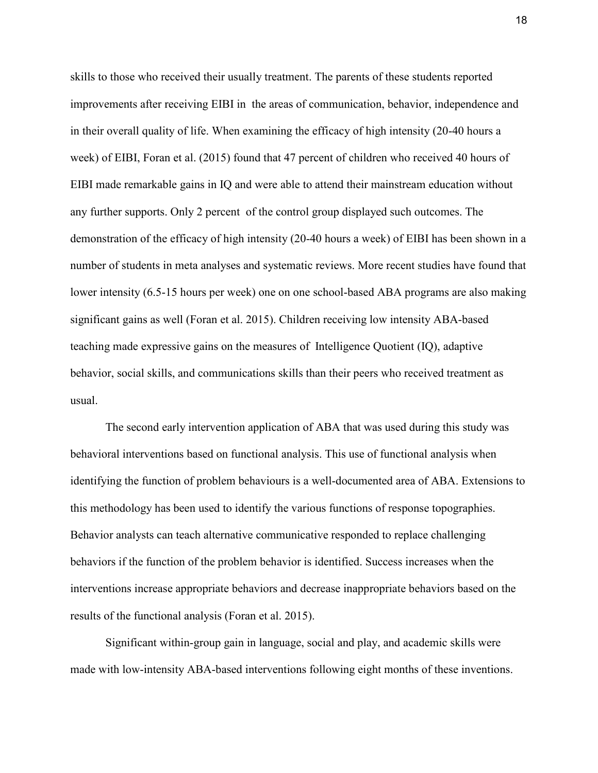skills to those who received their usually treatment. The parents of these students reported improvements after receiving EIBI in the areas of communication, behavior, independence and in their overall quality of life. When examining the efficacy of high intensity (20-40 hours a week) of EIBI, Foran et al. (2015) found that 47 percent of children who received 40 hours of EIBI made remarkable gains in IQ and were able to attend their mainstream education without any further supports. Only 2 percent of the control group displayed such outcomes. The demonstration of the efficacy of high intensity (20-40 hours a week) of EIBI has been shown in a number of students in meta analyses and systematic reviews. More recent studies have found that lower intensity (6.5-15 hours per week) one on one school-based ABA programs are also making significant gains as well (Foran et al. 2015). Children receiving low intensity ABA-based teaching made expressive gains on the measures of Intelligence Quotient (IQ), adaptive behavior, social skills, and communications skills than their peers who received treatment as usual.

The second early intervention application of ABA that was used during this study was behavioral interventions based on functional analysis. This use of functional analysis when identifying the function of problem behaviours is a well-documented area of ABA. Extensions to this methodology has been used to identify the various functions of response topographies. Behavior analysts can teach alternative communicative responded to replace challenging behaviors if the function of the problem behavior is identified. Success increases when the interventions increase appropriate behaviors and decrease inappropriate behaviors based on the results of the functional analysis (Foran et al. 2015).

Significant within-group gain in language, social and play, and academic skills were made with low-intensity ABA-based interventions following eight months of these inventions.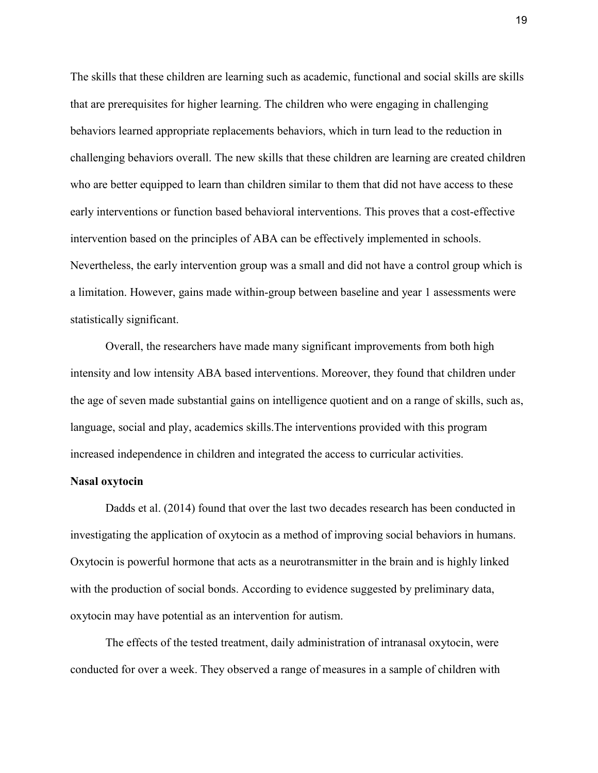The skills that these children are learning such as academic, functional and social skills are skills that are prerequisites for higher learning. The children who were engaging in challenging behaviors learned appropriate replacements behaviors, which in turn lead to the reduction in challenging behaviors overall. The new skills that these children are learning are created children who are better equipped to learn than children similar to them that did not have access to these early interventions or function based behavioral interventions. This proves that a cost-effective intervention based on the principles of ABA can be effectively implemented in schools. Nevertheless, the early intervention group was a small and did not have a control group which is a limitation. However, gains made within-group between baseline and year 1 assessments were statistically significant.

Overall, the researchers have made many significant improvements from both high intensity and low intensity ABA based interventions. Moreover, they found that children under the age of seven made substantial gains on intelligence quotient and on a range of skills, such as, language, social and play, academics skills.The interventions provided with this program increased independence in children and integrated the access to curricular activities.

### **Nasal oxytocin**

Dadds et al. (2014) found that over the last two decades research has been conducted in investigating the application of oxytocin as a method of improving social behaviors in humans. Oxytocin is powerful hormone that acts as a neurotransmitter in the brain and is highly linked with the production of social bonds. According to evidence suggested by preliminary data, oxytocin may have potential as an intervention for autism.

The effects of the tested treatment, daily administration of intranasal oxytocin, were conducted for over a week. They observed a range of measures in a sample of children with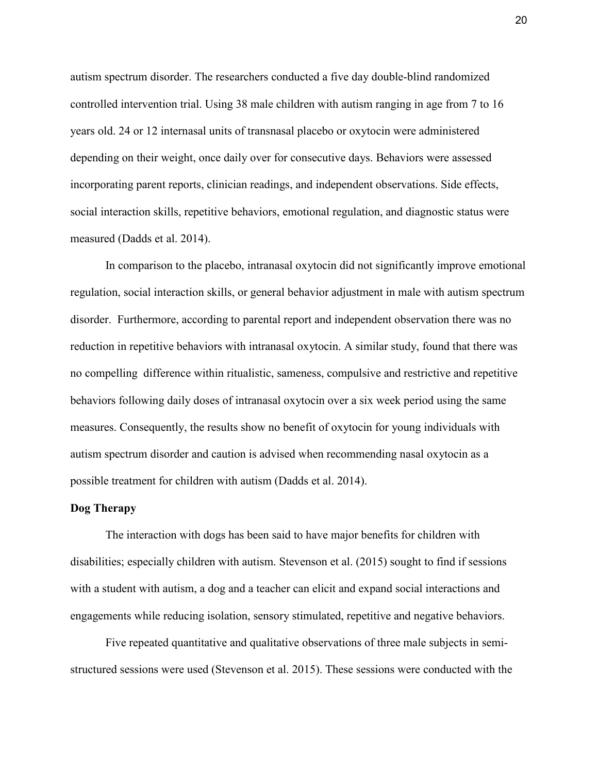autism spectrum disorder. The researchers conducted a five day double-blind randomized controlled intervention trial. Using 38 male children with autism ranging in age from 7 to 16 years old. 24 or 12 internasal units of transnasal placebo or oxytocin were administered depending on their weight, once daily over for consecutive days. Behaviors were assessed incorporating parent reports, clinician readings, and independent observations. Side effects, social interaction skills, repetitive behaviors, emotional regulation, and diagnostic status were measured (Dadds et al. 2014).

In comparison to the placebo, intranasal oxytocin did not significantly improve emotional regulation, social interaction skills, or general behavior adjustment in male with autism spectrum disorder. Furthermore, according to parental report and independent observation there was no reduction in repetitive behaviors with intranasal oxytocin. A similar study, found that there was no compelling difference within ritualistic, sameness, compulsive and restrictive and repetitive behaviors following daily doses of intranasal oxytocin over a six week period using the same measures. Consequently, the results show no benefit of oxytocin for young individuals with autism spectrum disorder and caution is advised when recommending nasal oxytocin as a possible treatment for children with autism (Dadds et al. 2014).

#### **Dog Therapy**

 The interaction with dogs has been said to have major benefits for children with disabilities; especially children with autism. Stevenson et al. (2015) sought to find if sessions with a student with autism, a dog and a teacher can elicit and expand social interactions and engagements while reducing isolation, sensory stimulated, repetitive and negative behaviors.

Five repeated quantitative and qualitative observations of three male subjects in semistructured sessions were used (Stevenson et al. 2015). These sessions were conducted with the

20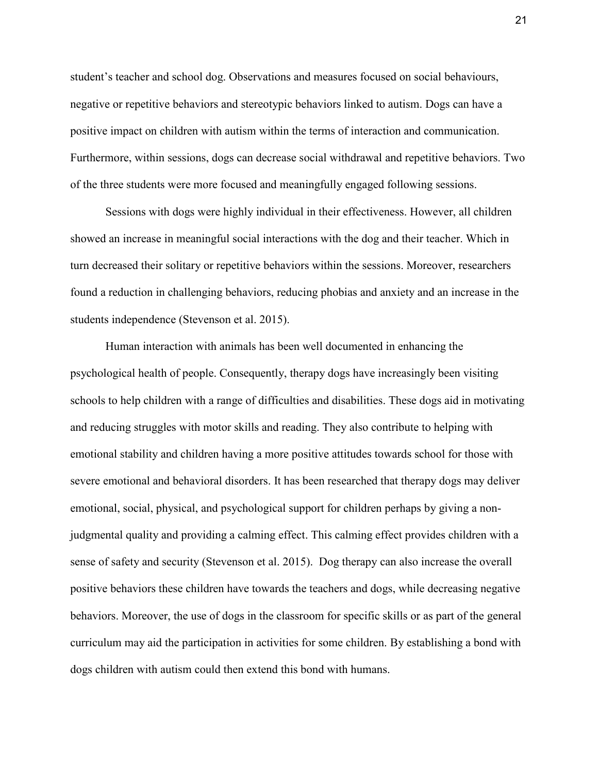student's teacher and school dog. Observations and measures focused on social behaviours, negative or repetitive behaviors and stereotypic behaviors linked to autism. Dogs can have a positive impact on children with autism within the terms of interaction and communication. Furthermore, within sessions, dogs can decrease social withdrawal and repetitive behaviors. Two of the three students were more focused and meaningfully engaged following sessions.

Sessions with dogs were highly individual in their effectiveness. However, all children showed an increase in meaningful social interactions with the dog and their teacher. Which in turn decreased their solitary or repetitive behaviors within the sessions. Moreover, researchers found a reduction in challenging behaviors, reducing phobias and anxiety and an increase in the students independence (Stevenson et al. 2015).

Human interaction with animals has been well documented in enhancing the psychological health of people. Consequently, therapy dogs have increasingly been visiting schools to help children with a range of difficulties and disabilities. These dogs aid in motivating and reducing struggles with motor skills and reading. They also contribute to helping with emotional stability and children having a more positive attitudes towards school for those with severe emotional and behavioral disorders. It has been researched that therapy dogs may deliver emotional, social, physical, and psychological support for children perhaps by giving a nonjudgmental quality and providing a calming effect. This calming effect provides children with a sense of safety and security (Stevenson et al. 2015). Dog therapy can also increase the overall positive behaviors these children have towards the teachers and dogs, while decreasing negative behaviors. Moreover, the use of dogs in the classroom for specific skills or as part of the general curriculum may aid the participation in activities for some children. By establishing a bond with dogs children with autism could then extend this bond with humans.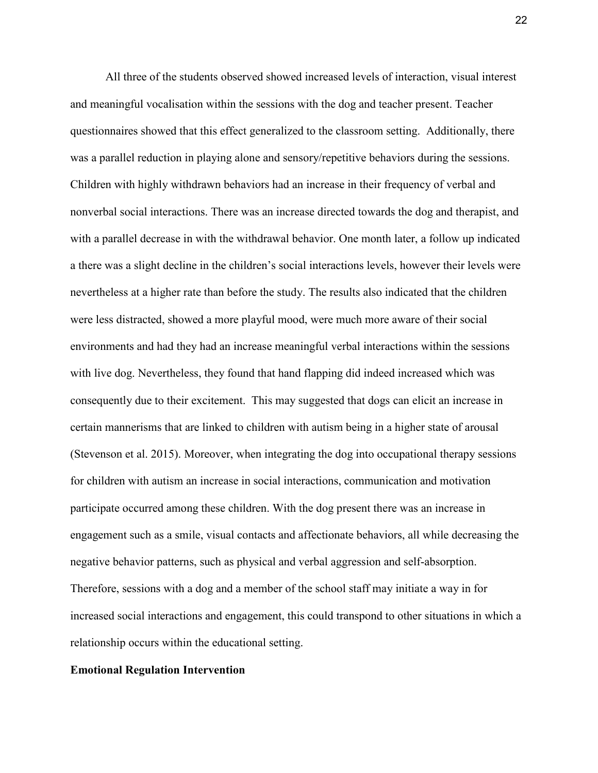All three of the students observed showed increased levels of interaction, visual interest and meaningful vocalisation within the sessions with the dog and teacher present. Teacher questionnaires showed that this effect generalized to the classroom setting. Additionally, there was a parallel reduction in playing alone and sensory/repetitive behaviors during the sessions. Children with highly withdrawn behaviors had an increase in their frequency of verbal and nonverbal social interactions. There was an increase directed towards the dog and therapist, and with a parallel decrease in with the withdrawal behavior. One month later, a follow up indicated a there was a slight decline in the children's social interactions levels, however their levels were nevertheless at a higher rate than before the study. The results also indicated that the children were less distracted, showed a more playful mood, were much more aware of their social environments and had they had an increase meaningful verbal interactions within the sessions with live dog. Nevertheless, they found that hand flapping did indeed increased which was consequently due to their excitement. This may suggested that dogs can elicit an increase in certain mannerisms that are linked to children with autism being in a higher state of arousal (Stevenson et al. 2015). Moreover, when integrating the dog into occupational therapy sessions for children with autism an increase in social interactions, communication and motivation participate occurred among these children. With the dog present there was an increase in engagement such as a smile, visual contacts and affectionate behaviors, all while decreasing the negative behavior patterns, such as physical and verbal aggression and self-absorption. Therefore, sessions with a dog and a member of the school staff may initiate a way in for increased social interactions and engagement, this could transpond to other situations in which a relationship occurs within the educational setting.

### **Emotional Regulation Intervention**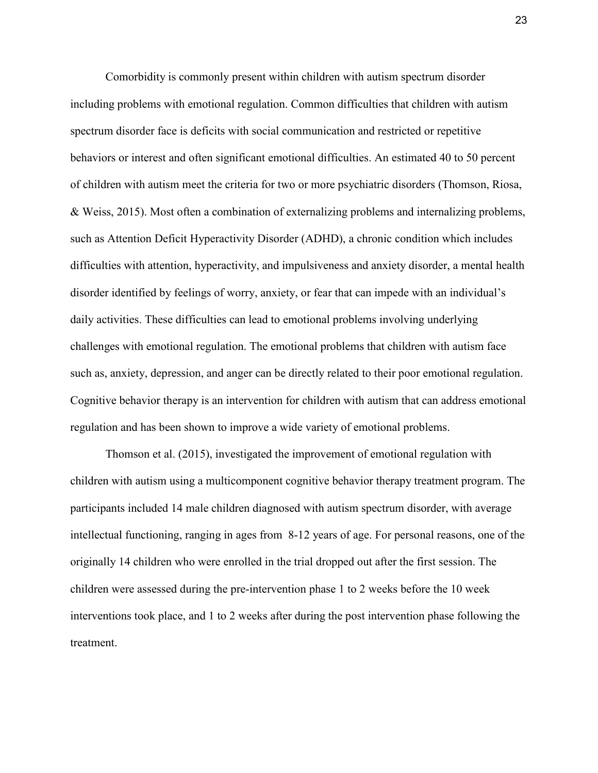Comorbidity is commonly present within children with autism spectrum disorder including problems with emotional regulation. Common difficulties that children with autism spectrum disorder face is deficits with social communication and restricted or repetitive behaviors or interest and often significant emotional difficulties. An estimated 40 to 50 percent of children with autism meet the criteria for two or more psychiatric disorders (Thomson, Riosa, & Weiss, 2015). Most often a combination of externalizing problems and internalizing problems, such as Attention Deficit Hyperactivity Disorder (ADHD), a chronic condition which includes difficulties with attention, hyperactivity, and impulsiveness and anxiety disorder, a mental health disorder identified by feelings of worry, anxiety, or fear that can impede with an individual's daily activities. These difficulties can lead to emotional problems involving underlying challenges with emotional regulation. The emotional problems that children with autism face such as, anxiety, depression, and anger can be directly related to their poor emotional regulation. Cognitive behavior therapy is an intervention for children with autism that can address emotional regulation and has been shown to improve a wide variety of emotional problems.

Thomson et al. (2015), investigated the improvement of emotional regulation with children with autism using a multicomponent cognitive behavior therapy treatment program. The participants included 14 male children diagnosed with autism spectrum disorder, with average intellectual functioning, ranging in ages from 8-12 years of age. For personal reasons, one of the originally 14 children who were enrolled in the trial dropped out after the first session. The children were assessed during the pre-intervention phase 1 to 2 weeks before the 10 week interventions took place, and 1 to 2 weeks after during the post intervention phase following the treatment.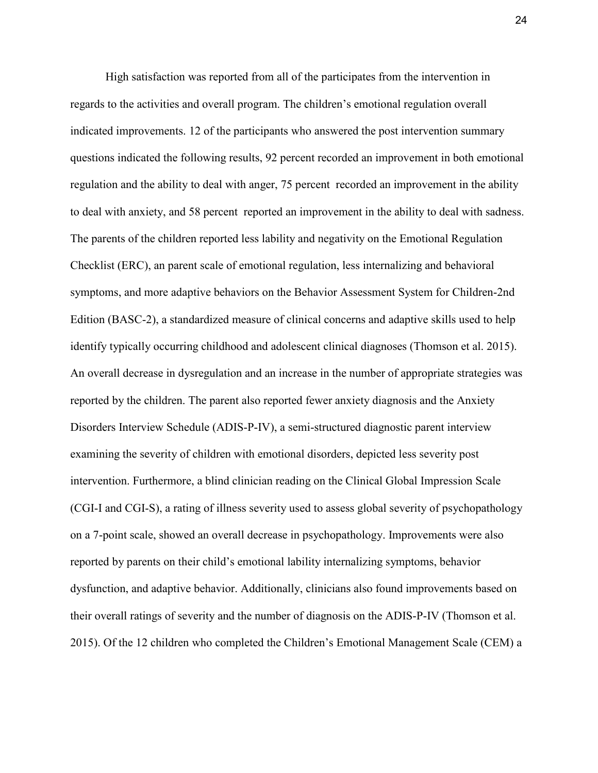High satisfaction was reported from all of the participates from the intervention in regards to the activities and overall program. The children's emotional regulation overall indicated improvements. 12 of the participants who answered the post intervention summary questions indicated the following results, 92 percent recorded an improvement in both emotional regulation and the ability to deal with anger, 75 percent recorded an improvement in the ability to deal with anxiety, and 58 percent reported an improvement in the ability to deal with sadness. The parents of the children reported less lability and negativity on the Emotional Regulation Checklist (ERC), an parent scale of emotional regulation, less internalizing and behavioral symptoms, and more adaptive behaviors on the Behavior Assessment System for Children-2nd Edition (BASC-2), a standardized measure of clinical concerns and adaptive skills used to help identify typically occurring childhood and adolescent clinical diagnoses (Thomson et al. 2015). An overall decrease in dysregulation and an increase in the number of appropriate strategies was reported by the children. The parent also reported fewer anxiety diagnosis and the Anxiety Disorders Interview Schedule (ADIS-P-IV), a semi-structured diagnostic parent interview examining the severity of children with emotional disorders, depicted less severity post intervention. Furthermore, a blind clinician reading on the Clinical Global Impression Scale (CGI-I and CGI-S), a rating of illness severity used to assess global severity of psychopathology on a 7-point scale, showed an overall decrease in psychopathology. Improvements were also reported by parents on their child's emotional lability internalizing symptoms, behavior dysfunction, and adaptive behavior. Additionally, clinicians also found improvements based on their overall ratings of severity and the number of diagnosis on the ADIS-P-IV (Thomson et al. 2015). Of the 12 children who completed the Children's Emotional Management Scale (CEM) a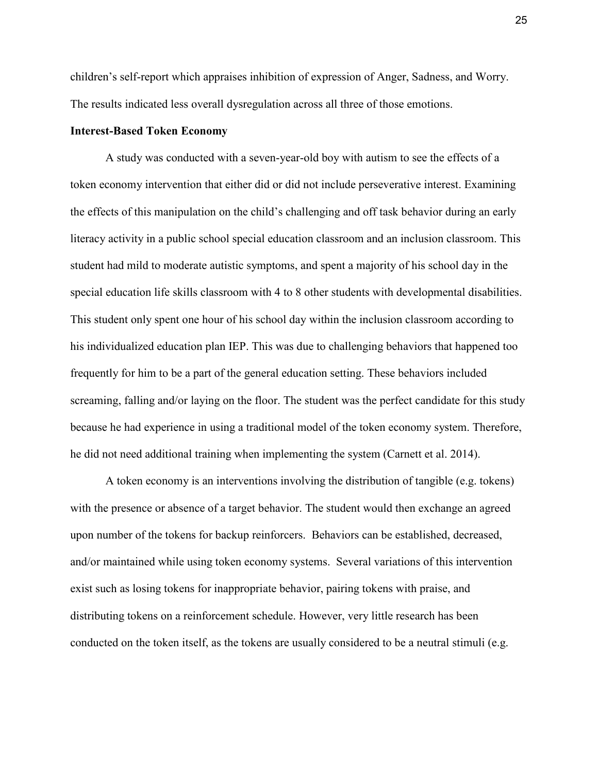children's self-report which appraises inhibition of expression of Anger, Sadness, and Worry. The results indicated less overall dysregulation across all three of those emotions.

# **Interest-Based Token Economy**

A study was conducted with a seven-year-old boy with autism to see the effects of a token economy intervention that either did or did not include perseverative interest. Examining the effects of this manipulation on the child's challenging and off task behavior during an early literacy activity in a public school special education classroom and an inclusion classroom. This student had mild to moderate autistic symptoms, and spent a majority of his school day in the special education life skills classroom with 4 to 8 other students with developmental disabilities. This student only spent one hour of his school day within the inclusion classroom according to his individualized education plan IEP. This was due to challenging behaviors that happened too frequently for him to be a part of the general education setting. These behaviors included screaming, falling and/or laying on the floor. The student was the perfect candidate for this study because he had experience in using a traditional model of the token economy system. Therefore, he did not need additional training when implementing the system (Carnett et al. 2014).

A token economy is an interventions involving the distribution of tangible (e.g. tokens) with the presence or absence of a target behavior. The student would then exchange an agreed upon number of the tokens for backup reinforcers. Behaviors can be established, decreased, and/or maintained while using token economy systems. Several variations of this intervention exist such as losing tokens for inappropriate behavior, pairing tokens with praise, and distributing tokens on a reinforcement schedule. However, very little research has been conducted on the token itself, as the tokens are usually considered to be a neutral stimuli (e.g.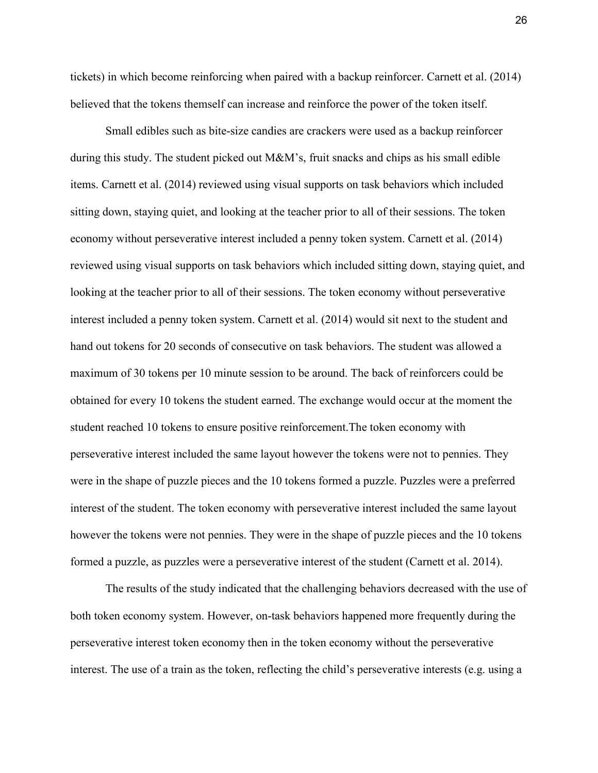tickets) in which become reinforcing when paired with a backup reinforcer. Carnett et al. (2014) believed that the tokens themself can increase and reinforce the power of the token itself.

Small edibles such as bite-size candies are crackers were used as a backup reinforcer during this study. The student picked out  $M\&M$ 's, fruit snacks and chips as his small edible items. Carnett et al. (2014) reviewed using visual supports on task behaviors which included sitting down, staying quiet, and looking at the teacher prior to all of their sessions. The token economy without perseverative interest included a penny token system. Carnett et al. (2014) reviewed using visual supports on task behaviors which included sitting down, staying quiet, and looking at the teacher prior to all of their sessions. The token economy without perseverative interest included a penny token system. Carnett et al. (2014) would sit next to the student and hand out tokens for 20 seconds of consecutive on task behaviors. The student was allowed a maximum of 30 tokens per 10 minute session to be around. The back of reinforcers could be obtained for every 10 tokens the student earned. The exchange would occur at the moment the student reached 10 tokens to ensure positive reinforcement.The token economy with perseverative interest included the same layout however the tokens were not to pennies. They were in the shape of puzzle pieces and the 10 tokens formed a puzzle. Puzzles were a preferred interest of the student. The token economy with perseverative interest included the same layout however the tokens were not pennies. They were in the shape of puzzle pieces and the 10 tokens formed a puzzle, as puzzles were a perseverative interest of the student (Carnett et al. 2014).

The results of the study indicated that the challenging behaviors decreased with the use of both token economy system. However, on-task behaviors happened more frequently during the perseverative interest token economy then in the token economy without the perseverative interest. The use of a train as the token, reflecting the child's perseverative interests (e.g. using a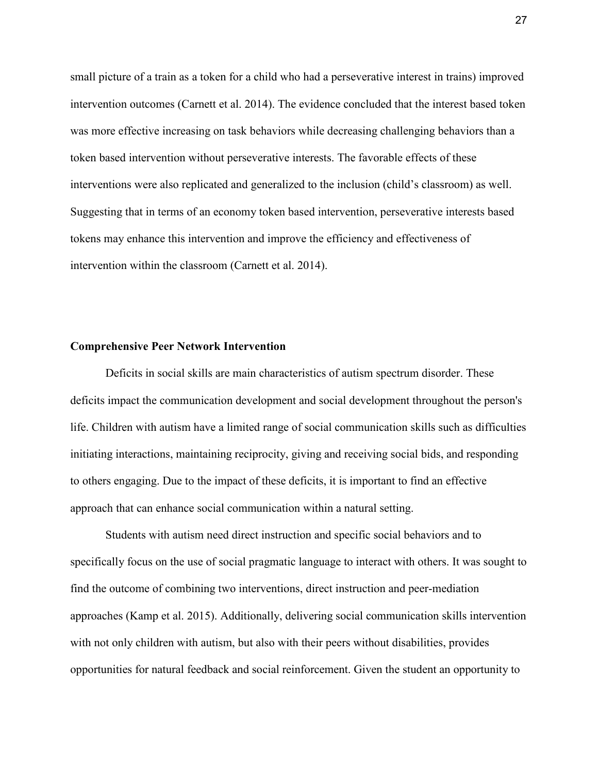small picture of a train as a token for a child who had a perseverative interest in trains) improved intervention outcomes (Carnett et al. 2014). The evidence concluded that the interest based token was more effective increasing on task behaviors while decreasing challenging behaviors than a token based intervention without perseverative interests. The favorable effects of these interventions were also replicated and generalized to the inclusion (child's classroom) as well. Suggesting that in terms of an economy token based intervention, perseverative interests based tokens may enhance this intervention and improve the efficiency and effectiveness of intervention within the classroom (Carnett et al. 2014).

### **Comprehensive Peer Network Intervention**

Deficits in social skills are main characteristics of autism spectrum disorder. These deficits impact the communication development and social development throughout the person's life. Children with autism have a limited range of social communication skills such as difficulties initiating interactions, maintaining reciprocity, giving and receiving social bids, and responding to others engaging. Due to the impact of these deficits, it is important to find an effective approach that can enhance social communication within a natural setting.

Students with autism need direct instruction and specific social behaviors and to specifically focus on the use of social pragmatic language to interact with others. It was sought to find the outcome of combining two interventions, direct instruction and peer-mediation approaches (Kamp et al. 2015). Additionally, delivering social communication skills intervention with not only children with autism, but also with their peers without disabilities, provides opportunities for natural feedback and social reinforcement. Given the student an opportunity to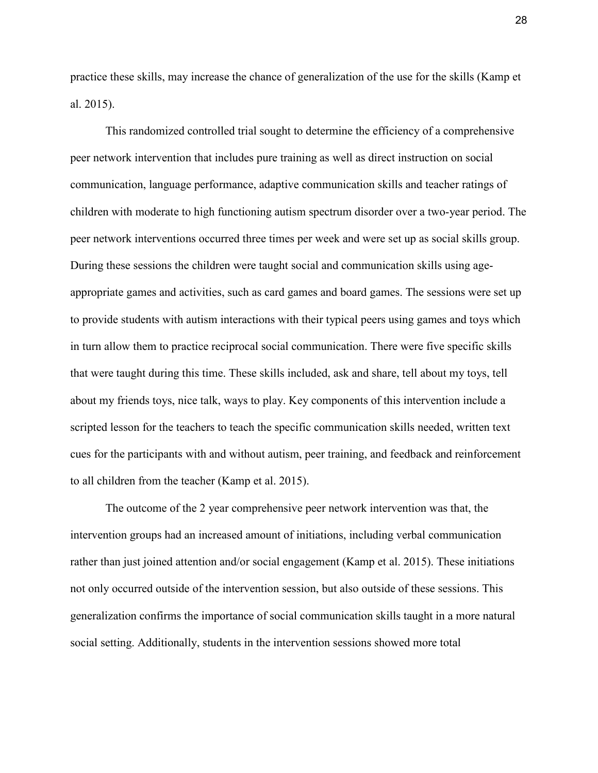practice these skills, may increase the chance of generalization of the use for the skills (Kamp et al. 2015).

This randomized controlled trial sought to determine the efficiency of a comprehensive peer network intervention that includes pure training as well as direct instruction on social communication, language performance, adaptive communication skills and teacher ratings of children with moderate to high functioning autism spectrum disorder over a two-year period. The peer network interventions occurred three times per week and were set up as social skills group. During these sessions the children were taught social and communication skills using ageappropriate games and activities, such as card games and board games. The sessions were set up to provide students with autism interactions with their typical peers using games and toys which in turn allow them to practice reciprocal social communication. There were five specific skills that were taught during this time. These skills included, ask and share, tell about my toys, tell about my friends toys, nice talk, ways to play. Key components of this intervention include a scripted lesson for the teachers to teach the specific communication skills needed, written text cues for the participants with and without autism, peer training, and feedback and reinforcement to all children from the teacher (Kamp et al. 2015).

The outcome of the 2 year comprehensive peer network intervention was that, the intervention groups had an increased amount of initiations, including verbal communication rather than just joined attention and/or social engagement (Kamp et al. 2015). These initiations not only occurred outside of the intervention session, but also outside of these sessions. This generalization confirms the importance of social communication skills taught in a more natural social setting. Additionally, students in the intervention sessions showed more total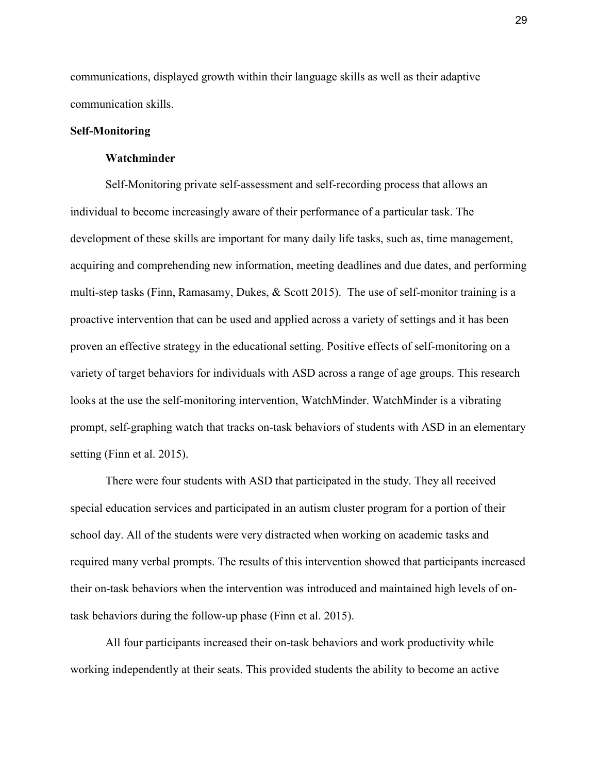communications, displayed growth within their language skills as well as their adaptive communication skills.

# **Self-Monitoring**

### **Watchminder**

Self-Monitoring private self-assessment and self-recording process that allows an individual to become increasingly aware of their performance of a particular task. The development of these skills are important for many daily life tasks, such as, time management, acquiring and comprehending new information, meeting deadlines and due dates, and performing multi-step tasks (Finn, Ramasamy, Dukes, & Scott 2015). The use of self-monitor training is a proactive intervention that can be used and applied across a variety of settings and it has been proven an effective strategy in the educational setting. Positive effects of self-monitoring on a variety of target behaviors for individuals with ASD across a range of age groups. This research looks at the use the self-monitoring intervention, WatchMinder. WatchMinder is a vibrating prompt, self-graphing watch that tracks on-task behaviors of students with ASD in an elementary setting (Finn et al. 2015).

There were four students with ASD that participated in the study. They all received special education services and participated in an autism cluster program for a portion of their school day. All of the students were very distracted when working on academic tasks and required many verbal prompts. The results of this intervention showed that participants increased their on-task behaviors when the intervention was introduced and maintained high levels of ontask behaviors during the follow-up phase (Finn et al. 2015).

All four participants increased their on-task behaviors and work productivity while working independently at their seats. This provided students the ability to become an active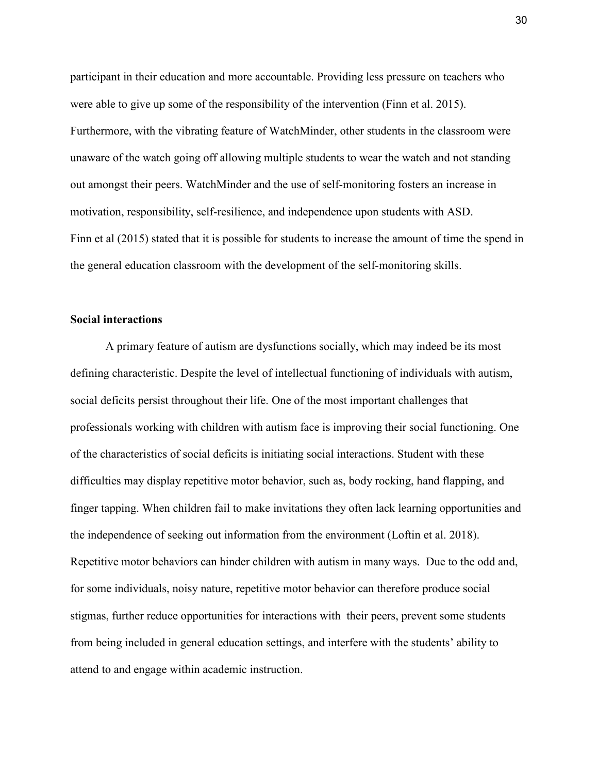participant in their education and more accountable. Providing less pressure on teachers who were able to give up some of the responsibility of the intervention (Finn et al. 2015). Furthermore, with the vibrating feature of WatchMinder, other students in the classroom were unaware of the watch going off allowing multiple students to wear the watch and not standing out amongst their peers. WatchMinder and the use of self-monitoring fosters an increase in motivation, responsibility, self-resilience, and independence upon students with ASD. Finn et al (2015) stated that it is possible for students to increase the amount of time the spend in the general education classroom with the development of the self-monitoring skills.

# **Social interactions**

A primary feature of autism are dysfunctions socially, which may indeed be its most defining characteristic. Despite the level of intellectual functioning of individuals with autism, social deficits persist throughout their life. One of the most important challenges that professionals working with children with autism face is improving their social functioning. One of the characteristics of social deficits is initiating social interactions. Student with these difficulties may display repetitive motor behavior, such as, body rocking, hand flapping, and finger tapping. When children fail to make invitations they often lack learning opportunities and the independence of seeking out information from the environment (Loftin et al. 2018). Repetitive motor behaviors can hinder children with autism in many ways. Due to the odd and, for some individuals, noisy nature, repetitive motor behavior can therefore produce social stigmas, further reduce opportunities for interactions with their peers, prevent some students from being included in general education settings, and interfere with the students' ability to attend to and engage within academic instruction.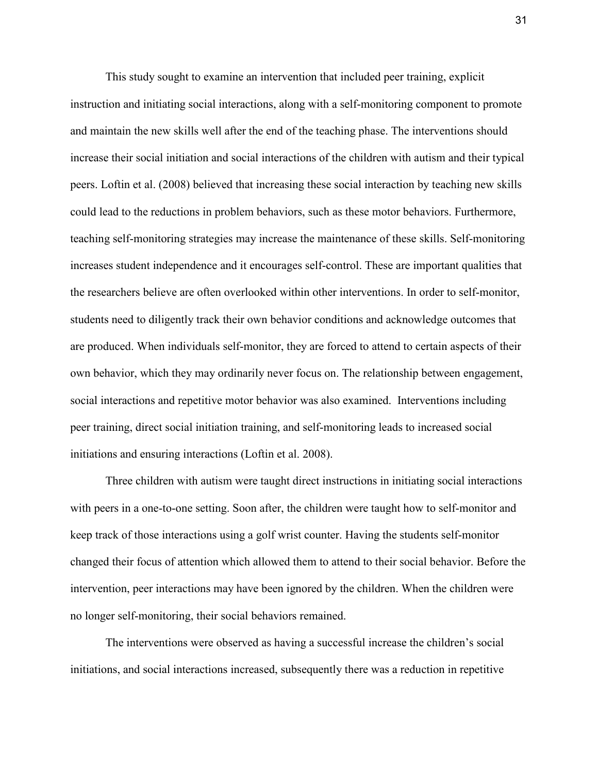This study sought to examine an intervention that included peer training, explicit instruction and initiating social interactions, along with a self-monitoring component to promote and maintain the new skills well after the end of the teaching phase. The interventions should increase their social initiation and social interactions of the children with autism and their typical peers. Loftin et al. (2008) believed that increasing these social interaction by teaching new skills could lead to the reductions in problem behaviors, such as these motor behaviors. Furthermore, teaching self-monitoring strategies may increase the maintenance of these skills. Self-monitoring increases student independence and it encourages self-control. These are important qualities that the researchers believe are often overlooked within other interventions. In order to self-monitor, students need to diligently track their own behavior conditions and acknowledge outcomes that are produced. When individuals self-monitor, they are forced to attend to certain aspects of their own behavior, which they may ordinarily never focus on. The relationship between engagement, social interactions and repetitive motor behavior was also examined. Interventions including peer training, direct social initiation training, and self-monitoring leads to increased social initiations and ensuring interactions (Loftin et al. 2008).

Three children with autism were taught direct instructions in initiating social interactions with peers in a one-to-one setting. Soon after, the children were taught how to self-monitor and keep track of those interactions using a golf wrist counter. Having the students self-monitor changed their focus of attention which allowed them to attend to their social behavior. Before the intervention, peer interactions may have been ignored by the children. When the children were no longer self-monitoring, their social behaviors remained.

The interventions were observed as having a successful increase the children's social initiations, and social interactions increased, subsequently there was a reduction in repetitive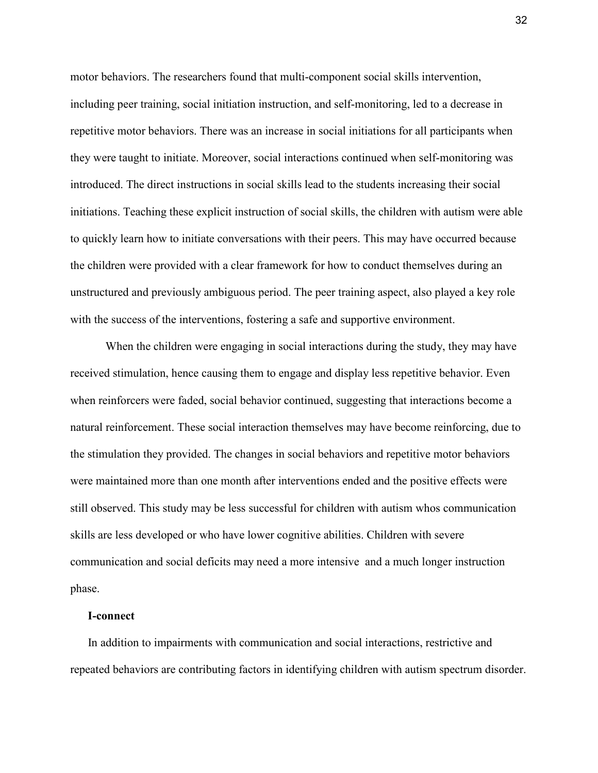motor behaviors. The researchers found that multi-component social skills intervention, including peer training, social initiation instruction, and self-monitoring, led to a decrease in repetitive motor behaviors. There was an increase in social initiations for all participants when they were taught to initiate. Moreover, social interactions continued when self-monitoring was introduced. The direct instructions in social skills lead to the students increasing their social initiations. Teaching these explicit instruction of social skills, the children with autism were able to quickly learn how to initiate conversations with their peers. This may have occurred because the children were provided with a clear framework for how to conduct themselves during an unstructured and previously ambiguous period. The peer training aspect, also played a key role with the success of the interventions, fostering a safe and supportive environment.

When the children were engaging in social interactions during the study, they may have received stimulation, hence causing them to engage and display less repetitive behavior. Even when reinforcers were faded, social behavior continued, suggesting that interactions become a natural reinforcement. These social interaction themselves may have become reinforcing, due to the stimulation they provided. The changes in social behaviors and repetitive motor behaviors were maintained more than one month after interventions ended and the positive effects were still observed. This study may be less successful for children with autism whos communication skills are less developed or who have lower cognitive abilities. Children with severe communication and social deficits may need a more intensive and a much longer instruction phase.

#### **I-connect**

 In addition to impairments with communication and social interactions, restrictive and repeated behaviors are contributing factors in identifying children with autism spectrum disorder.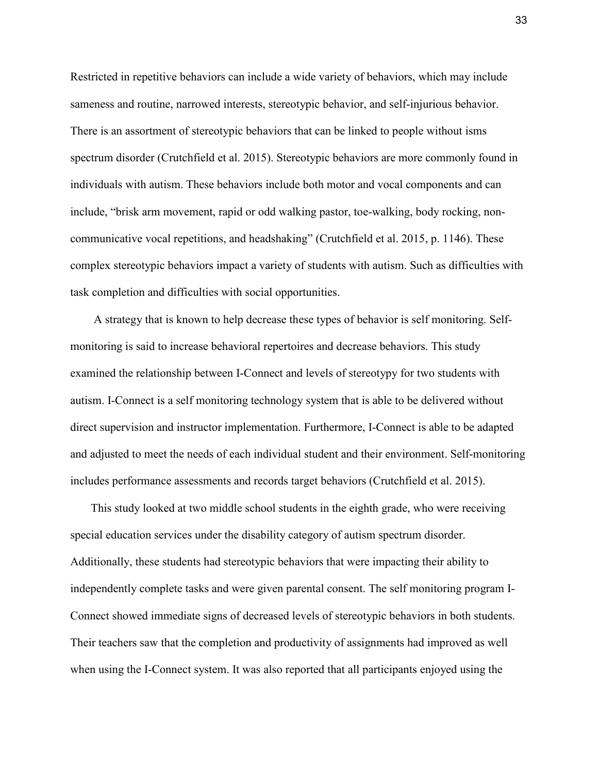Restricted in repetitive behaviors can include a wide variety of behaviors, which may include sameness and routine, narrowed interests, stereotypic behavior, and self-injurious behavior. There is an assortment of stereotypic behaviors that can be linked to people without isms spectrum disorder (Crutchfield et al. 2015). Stereotypic behaviors are more commonly found in individuals with autism. These behaviors include both motor and vocal components and can include, "brisk arm movement, rapid or odd walking pastor, toe-walking, body rocking, noncommunicative vocal repetitions, and headshaking" (Crutchfield et al. 2015, p. 1146). These complex stereotypic behaviors impact a variety of students with autism. Such as difficulties with task completion and difficulties with social opportunities.

 A strategy that is known to help decrease these types of behavior is self monitoring. Selfmonitoring is said to increase behavioral repertoires and decrease behaviors. This study examined the relationship between I-Connect and levels of stereotypy for two students with autism. I-Connect is a self monitoring technology system that is able to be delivered without direct supervision and instructor implementation. Furthermore, I-Connect is able to be adapted and adjusted to meet the needs of each individual student and their environment. Self-monitoring includes performance assessments and records target behaviors (Crutchfield et al. 2015).

 This study looked at two middle school students in the eighth grade, who were receiving special education services under the disability category of autism spectrum disorder. Additionally, these students had stereotypic behaviors that were impacting their ability to independently complete tasks and were given parental consent. The self monitoring program I-Connect showed immediate signs of decreased levels of stereotypic behaviors in both students. Their teachers saw that the completion and productivity of assignments had improved as well when using the I-Connect system. It was also reported that all participants enjoyed using the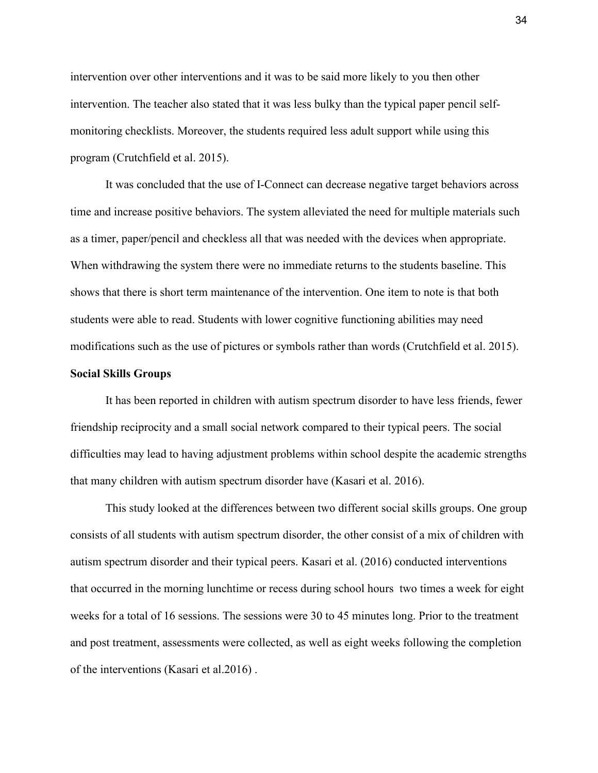intervention over other interventions and it was to be said more likely to you then other intervention. The teacher also stated that it was less bulky than the typical paper pencil selfmonitoring checklists. Moreover, the students required less adult support while using this program (Crutchfield et al. 2015).

It was concluded that the use of I-Connect can decrease negative target behaviors across time and increase positive behaviors. The system alleviated the need for multiple materials such as a timer, paper/pencil and checkless all that was needed with the devices when appropriate. When withdrawing the system there were no immediate returns to the students baseline. This shows that there is short term maintenance of the intervention. One item to note is that both students were able to read. Students with lower cognitive functioning abilities may need modifications such as the use of pictures or symbols rather than words (Crutchfield et al. 2015).

### **Social Skills Groups**

It has been reported in children with autism spectrum disorder to have less friends, fewer friendship reciprocity and a small social network compared to their typical peers. The social difficulties may lead to having adjustment problems within school despite the academic strengths that many children with autism spectrum disorder have (Kasari et al. 2016).

This study looked at the differences between two different social skills groups. One group consists of all students with autism spectrum disorder, the other consist of a mix of children with autism spectrum disorder and their typical peers. Kasari et al. (2016) conducted interventions that occurred in the morning lunchtime or recess during school hours two times a week for eight weeks for a total of 16 sessions. The sessions were 30 to 45 minutes long. Prior to the treatment and post treatment, assessments were collected, as well as eight weeks following the completion of the interventions (Kasari et al.2016) .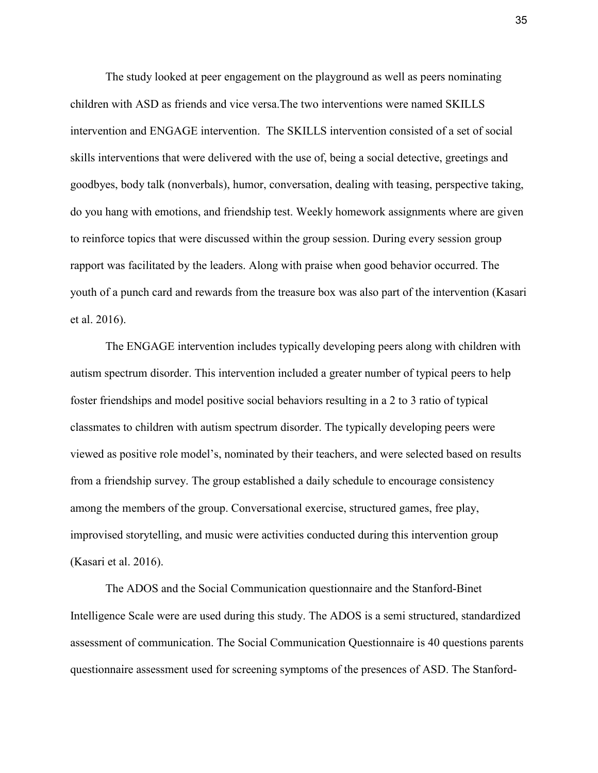The study looked at peer engagement on the playground as well as peers nominating children with ASD as friends and vice versa.The two interventions were named SKILLS intervention and ENGAGE intervention. The SKILLS intervention consisted of a set of social skills interventions that were delivered with the use of, being a social detective, greetings and goodbyes, body talk (nonverbals), humor, conversation, dealing with teasing, perspective taking, do you hang with emotions, and friendship test. Weekly homework assignments where are given to reinforce topics that were discussed within the group session. During every session group rapport was facilitated by the leaders. Along with praise when good behavior occurred. The youth of a punch card and rewards from the treasure box was also part of the intervention (Kasari et al. 2016).

The ENGAGE intervention includes typically developing peers along with children with autism spectrum disorder. This intervention included a greater number of typical peers to help foster friendships and model positive social behaviors resulting in a 2 to 3 ratio of typical classmates to children with autism spectrum disorder. The typically developing peers were viewed as positive role model's, nominated by their teachers, and were selected based on results from a friendship survey. The group established a daily schedule to encourage consistency among the members of the group. Conversational exercise, structured games, free play, improvised storytelling, and music were activities conducted during this intervention group (Kasari et al. 2016).

The ADOS and the Social Communication questionnaire and the Stanford-Binet Intelligence Scale were are used during this study. The ADOS is a semi structured, standardized assessment of communication. The Social Communication Questionnaire is 40 questions parents questionnaire assessment used for screening symptoms of the presences of ASD. The Stanford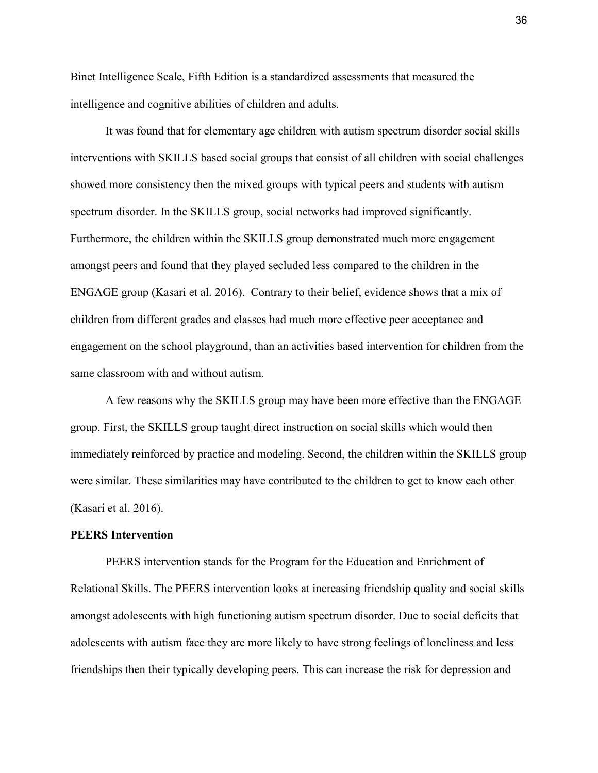Binet Intelligence Scale, Fifth Edition is a standardized assessments that measured the intelligence and cognitive abilities of children and adults.

It was found that for elementary age children with autism spectrum disorder social skills interventions with SKILLS based social groups that consist of all children with social challenges showed more consistency then the mixed groups with typical peers and students with autism spectrum disorder. In the SKILLS group, social networks had improved significantly. Furthermore, the children within the SKILLS group demonstrated much more engagement amongst peers and found that they played secluded less compared to the children in the ENGAGE group (Kasari et al. 2016). Contrary to their belief, evidence shows that a mix of children from different grades and classes had much more effective peer acceptance and engagement on the school playground, than an activities based intervention for children from the same classroom with and without autism.

A few reasons why the SKILLS group may have been more effective than the ENGAGE group. First, the SKILLS group taught direct instruction on social skills which would then immediately reinforced by practice and modeling. Second, the children within the SKILLS group were similar. These similarities may have contributed to the children to get to know each other (Kasari et al. 2016).

# **PEERS Intervention**

PEERS intervention stands for the Program for the Education and Enrichment of Relational Skills. The PEERS intervention looks at increasing friendship quality and social skills amongst adolescents with high functioning autism spectrum disorder. Due to social deficits that adolescents with autism face they are more likely to have strong feelings of loneliness and less friendships then their typically developing peers. This can increase the risk for depression and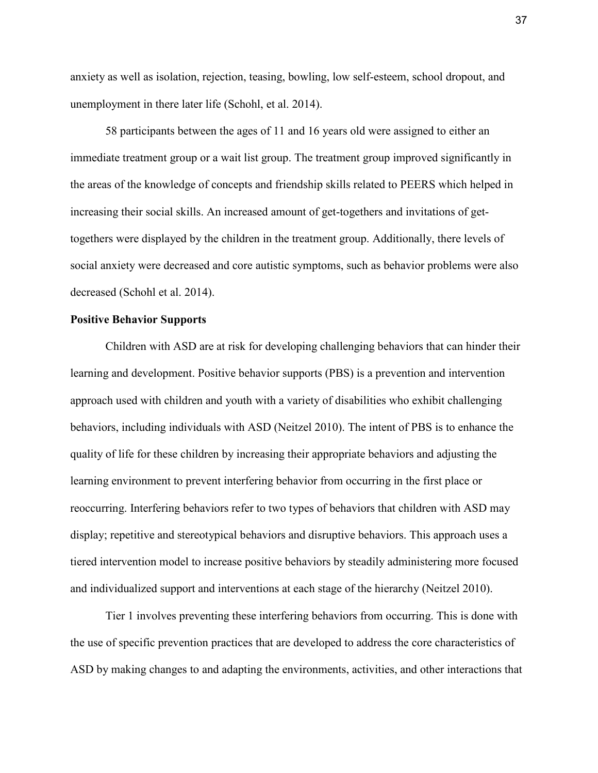anxiety as well as isolation, rejection, teasing, bowling, low self-esteem, school dropout, and unemployment in there later life (Schohl, et al. 2014).

58 participants between the ages of 11 and 16 years old were assigned to either an immediate treatment group or a wait list group. The treatment group improved significantly in the areas of the knowledge of concepts and friendship skills related to PEERS which helped in increasing their social skills. An increased amount of get-togethers and invitations of gettogethers were displayed by the children in the treatment group. Additionally, there levels of social anxiety were decreased and core autistic symptoms, such as behavior problems were also decreased (Schohl et al. 2014).

# **Positive Behavior Supports**

Children with ASD are at risk for developing challenging behaviors that can hinder their learning and development. Positive behavior supports (PBS) is a prevention and intervention approach used with children and youth with a variety of disabilities who exhibit challenging behaviors, including individuals with ASD (Neitzel 2010). The intent of PBS is to enhance the quality of life for these children by increasing their appropriate behaviors and adjusting the learning environment to prevent interfering behavior from occurring in the first place or reoccurring. Interfering behaviors refer to two types of behaviors that children with ASD may display; repetitive and stereotypical behaviors and disruptive behaviors. This approach uses a tiered intervention model to increase positive behaviors by steadily administering more focused and individualized support and interventions at each stage of the hierarchy (Neitzel 2010).

 Tier 1 involves preventing these interfering behaviors from occurring. This is done with the use of specific prevention practices that are developed to address the core characteristics of ASD by making changes to and adapting the environments, activities, and other interactions that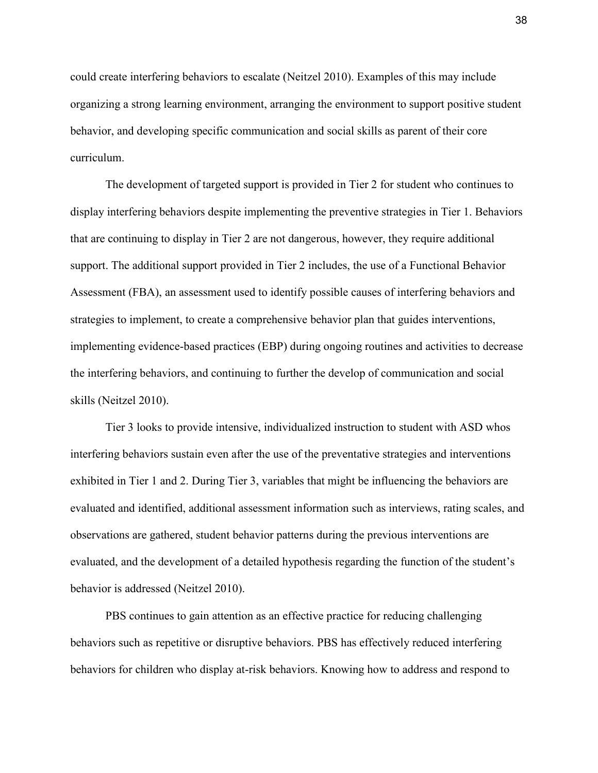could create interfering behaviors to escalate (Neitzel 2010). Examples of this may include organizing a strong learning environment, arranging the environment to support positive student behavior, and developing specific communication and social skills as parent of their core curriculum.

 The development of targeted support is provided in Tier 2 for student who continues to display interfering behaviors despite implementing the preventive strategies in Tier 1. Behaviors that are continuing to display in Tier 2 are not dangerous, however, they require additional support. The additional support provided in Tier 2 includes, the use of a Functional Behavior Assessment (FBA), an assessment used to identify possible causes of interfering behaviors and strategies to implement, to create a comprehensive behavior plan that guides interventions, implementing evidence-based practices (EBP) during ongoing routines and activities to decrease the interfering behaviors, and continuing to further the develop of communication and social skills (Neitzel 2010).

 Tier 3 looks to provide intensive, individualized instruction to student with ASD whos interfering behaviors sustain even after the use of the preventative strategies and interventions exhibited in Tier 1 and 2. During Tier 3, variables that might be influencing the behaviors are evaluated and identified, additional assessment information such as interviews, rating scales, and observations are gathered, student behavior patterns during the previous interventions are evaluated, and the development of a detailed hypothesis regarding the function of the student's behavior is addressed (Neitzel 2010).

 PBS continues to gain attention as an effective practice for reducing challenging behaviors such as repetitive or disruptive behaviors. PBS has effectively reduced interfering behaviors for children who display at-risk behaviors. Knowing how to address and respond to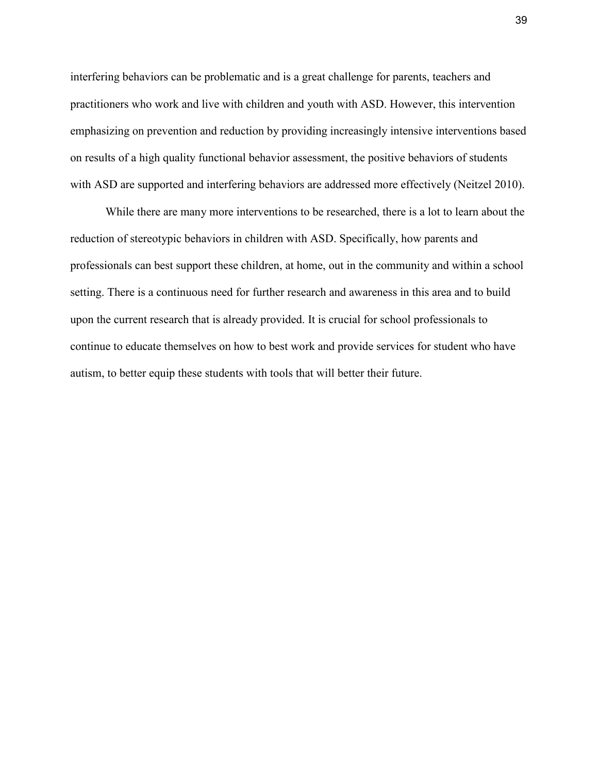interfering behaviors can be problematic and is a great challenge for parents, teachers and practitioners who work and live with children and youth with ASD. However, this intervention emphasizing on prevention and reduction by providing increasingly intensive interventions based on results of a high quality functional behavior assessment, the positive behaviors of students with ASD are supported and interfering behaviors are addressed more effectively (Neitzel 2010).

While there are many more interventions to be researched, there is a lot to learn about the reduction of stereotypic behaviors in children with ASD. Specifically, how parents and professionals can best support these children, at home, out in the community and within a school setting. There is a continuous need for further research and awareness in this area and to build upon the current research that is already provided. It is crucial for school professionals to continue to educate themselves on how to best work and provide services for student who have autism, to better equip these students with tools that will better their future.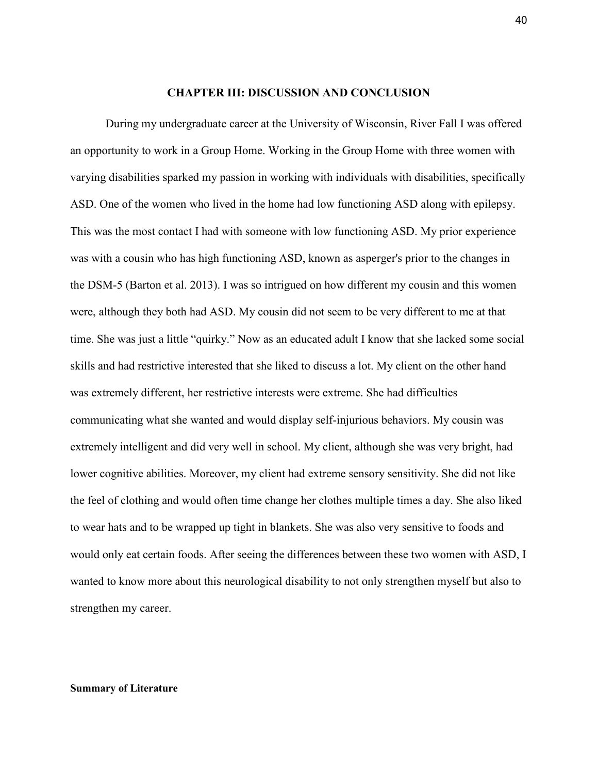#### **CHAPTER III: DISCUSSION AND CONCLUSION**

During my undergraduate career at the University of Wisconsin, River Fall I was offered an opportunity to work in a Group Home. Working in the Group Home with three women with varying disabilities sparked my passion in working with individuals with disabilities, specifically ASD. One of the women who lived in the home had low functioning ASD along with epilepsy. This was the most contact I had with someone with low functioning ASD. My prior experience was with a cousin who has high functioning ASD, known as asperger's prior to the changes in the DSM-5 (Barton et al. 2013). I was so intrigued on how different my cousin and this women were, although they both had ASD. My cousin did not seem to be very different to me at that time. She was just a little "quirky." Now as an educated adult I know that she lacked some social skills and had restrictive interested that she liked to discuss a lot. My client on the other hand was extremely different, her restrictive interests were extreme. She had difficulties communicating what she wanted and would display self-injurious behaviors. My cousin was extremely intelligent and did very well in school. My client, although she was very bright, had lower cognitive abilities. Moreover, my client had extreme sensory sensitivity. She did not like the feel of clothing and would often time change her clothes multiple times a day. She also liked to wear hats and to be wrapped up tight in blankets. She was also very sensitive to foods and would only eat certain foods. After seeing the differences between these two women with ASD, I wanted to know more about this neurological disability to not only strengthen myself but also to strengthen my career.

#### **Summary of Literature**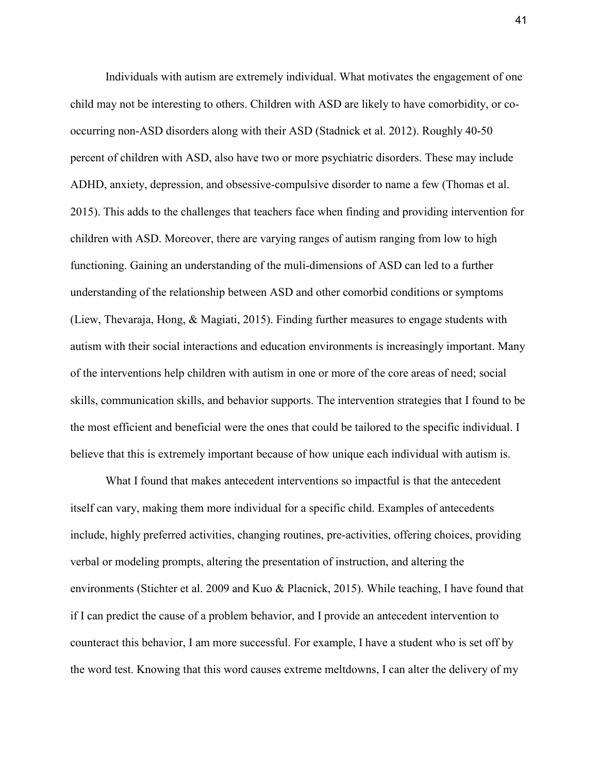Individuals with autism are extremely individual. What motivates the engagement of one child may not be interesting to others. Children with ASD are likely to have comorbidity, or cooccurring non-ASD disorders along with their ASD (Stadnick et al. 2012). Roughly 40-50 percent of children with ASD, also have two or more psychiatric disorders. These may include ADHD, anxiety, depression, and obsessive-compulsive disorder to name a few (Thomas et al. 2015). This adds to the challenges that teachers face when finding and providing intervention for children with ASD. Moreover, there are varying ranges of autism ranging from low to high functioning. Gaining an understanding of the muli-dimensions of ASD can led to a further understanding of the relationship between ASD and other comorbid conditions or symptoms (Liew, Thevaraja, Hong, & Magiati, 2015). Finding further measures to engage students with autism with their social interactions and education environments is increasingly important. Many of the interventions help children with autism in one or more of the core areas of need; social skills, communication skills, and behavior supports. The intervention strategies that I found to be the most efficient and beneficial were the ones that could be tailored to the specific individual. I believe that this is extremely important because of how unique each individual with autism is.

What I found that makes antecedent interventions so impactful is that the antecedent itself can vary, making them more individual for a specific child. Examples of antecedents include, highly preferred activities, changing routines, pre-activities, offering choices, providing verbal or modeling prompts, altering the presentation of instruction, and altering the environments (Stichter et al. 2009 and Kuo & Placnick, 2015). While teaching, I have found that if I can predict the cause of a problem behavior, and I provide an antecedent intervention to counteract this behavior, I am more successful. For example, I have a student who is set off by the word test. Knowing that this word causes extreme meltdowns, I can alter the delivery of my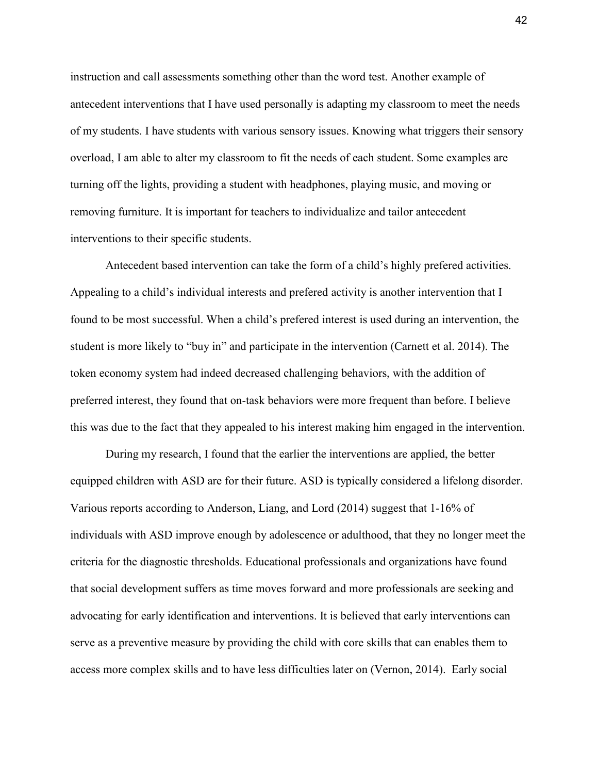instruction and call assessments something other than the word test. Another example of antecedent interventions that I have used personally is adapting my classroom to meet the needs of my students. I have students with various sensory issues. Knowing what triggers their sensory overload, I am able to alter my classroom to fit the needs of each student. Some examples are turning off the lights, providing a student with headphones, playing music, and moving or removing furniture. It is important for teachers to individualize and tailor antecedent interventions to their specific students.

Antecedent based intervention can take the form of a child's highly prefered activities. Appealing to a child's individual interests and prefered activity is another intervention that I found to be most successful. When a child's prefered interest is used during an intervention, the student is more likely to "buy in" and participate in the intervention (Carnett et al. 2014). The token economy system had indeed decreased challenging behaviors, with the addition of preferred interest, they found that on-task behaviors were more frequent than before. I believe this was due to the fact that they appealed to his interest making him engaged in the intervention.

During my research, I found that the earlier the interventions are applied, the better equipped children with ASD are for their future. ASD is typically considered a lifelong disorder. Various reports according to Anderson, Liang, and Lord (2014) suggest that 1-16% of individuals with ASD improve enough by adolescence or adulthood, that they no longer meet the criteria for the diagnostic thresholds. Educational professionals and organizations have found that social development suffers as time moves forward and more professionals are seeking and advocating for early identification and interventions. It is believed that early interventions can serve as a preventive measure by providing the child with core skills that can enables them to access more complex skills and to have less difficulties later on (Vernon, 2014). Early social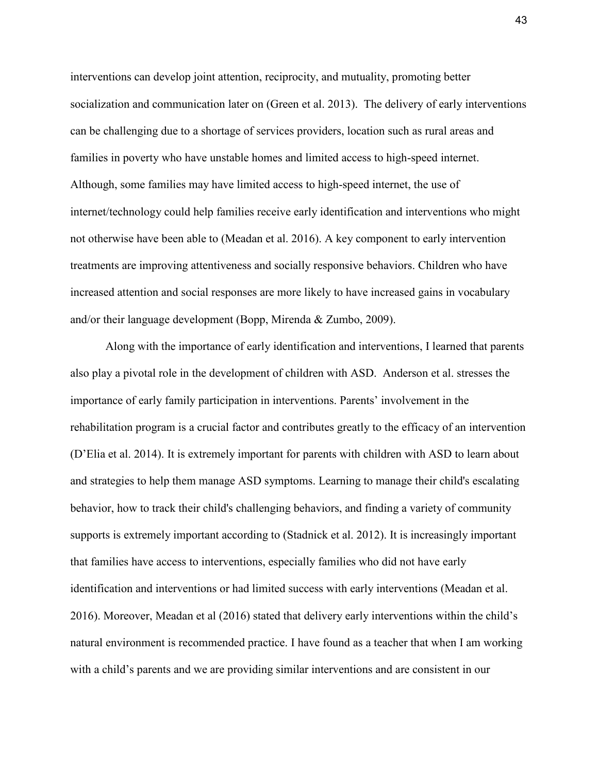interventions can develop joint attention, reciprocity, and mutuality, promoting better socialization and communication later on (Green et al. 2013). The delivery of early interventions can be challenging due to a shortage of services providers, location such as rural areas and families in poverty who have unstable homes and limited access to high-speed internet. Although, some families may have limited access to high-speed internet, the use of internet/technology could help families receive early identification and interventions who might not otherwise have been able to (Meadan et al. 2016). A key component to early intervention treatments are improving attentiveness and socially responsive behaviors. Children who have increased attention and social responses are more likely to have increased gains in vocabulary and/or their language development (Bopp, Mirenda & Zumbo, 2009).

Along with the importance of early identification and interventions, I learned that parents also play a pivotal role in the development of children with ASD. Anderson et al. stresses the importance of early family participation in interventions. Parents' involvement in the rehabilitation program is a crucial factor and contributes greatly to the efficacy of an intervention (D'Elia et al. 2014). It is extremely important for parents with children with ASD to learn about and strategies to help them manage ASD symptoms. Learning to manage their child's escalating behavior, how to track their child's challenging behaviors, and finding a variety of community supports is extremely important according to (Stadnick et al. 2012). It is increasingly important that families have access to interventions, especially families who did not have early identification and interventions or had limited success with early interventions (Meadan et al. 2016). Moreover, Meadan et al (2016) stated that delivery early interventions within the child's natural environment is recommended practice. I have found as a teacher that when I am working with a child's parents and we are providing similar interventions and are consistent in our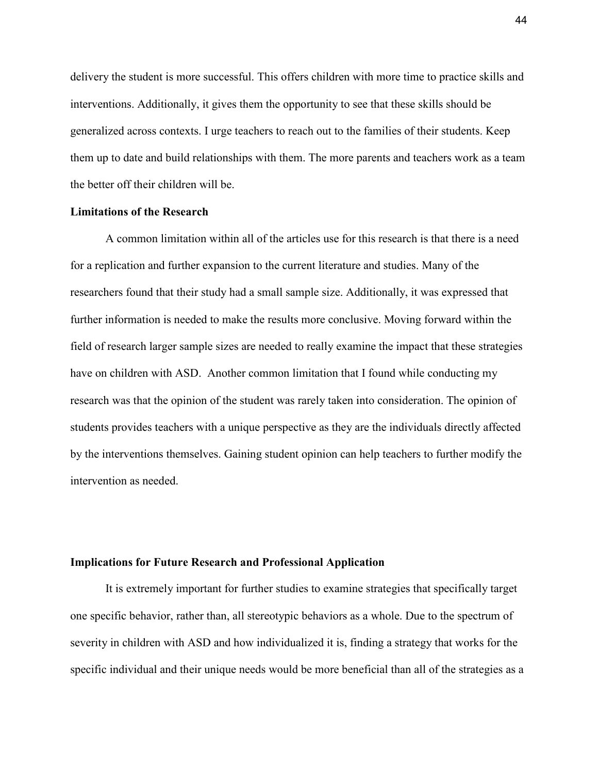delivery the student is more successful. This offers children with more time to practice skills and interventions. Additionally, it gives them the opportunity to see that these skills should be generalized across contexts. I urge teachers to reach out to the families of their students. Keep them up to date and build relationships with them. The more parents and teachers work as a team the better off their children will be.

### **Limitations of the Research**

A common limitation within all of the articles use for this research is that there is a need for a replication and further expansion to the current literature and studies. Many of the researchers found that their study had a small sample size. Additionally, it was expressed that further information is needed to make the results more conclusive. Moving forward within the field of research larger sample sizes are needed to really examine the impact that these strategies have on children with ASD. Another common limitation that I found while conducting my research was that the opinion of the student was rarely taken into consideration. The opinion of students provides teachers with a unique perspective as they are the individuals directly affected by the interventions themselves. Gaining student opinion can help teachers to further modify the intervention as needed.

### **Implications for Future Research and Professional Application**

It is extremely important for further studies to examine strategies that specifically target one specific behavior, rather than, all stereotypic behaviors as a whole. Due to the spectrum of severity in children with ASD and how individualized it is, finding a strategy that works for the specific individual and their unique needs would be more beneficial than all of the strategies as a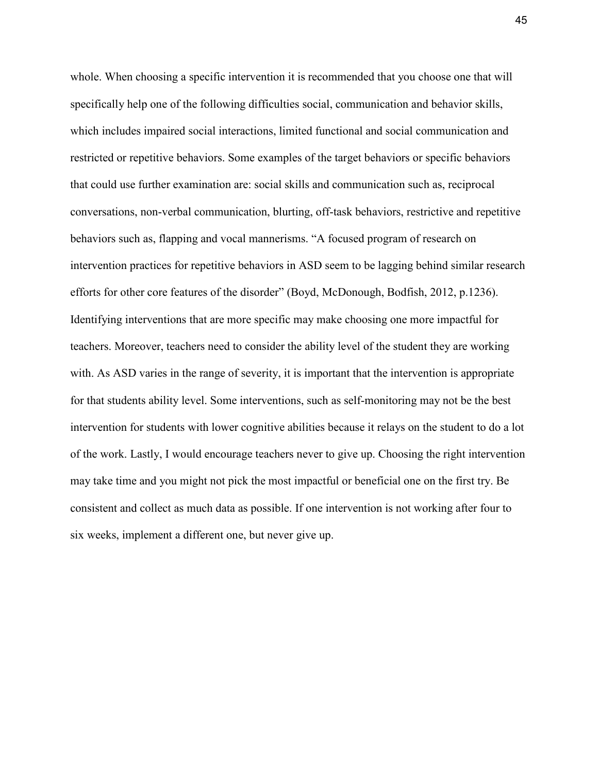whole. When choosing a specific intervention it is recommended that you choose one that will specifically help one of the following difficulties social, communication and behavior skills, which includes impaired social interactions, limited functional and social communication and restricted or repetitive behaviors. Some examples of the target behaviors or specific behaviors that could use further examination are: social skills and communication such as, reciprocal conversations, non-verbal communication, blurting, off-task behaviors, restrictive and repetitive behaviors such as, flapping and vocal mannerisms. "A focused program of research on intervention practices for repetitive behaviors in ASD seem to be lagging behind similar research efforts for other core features of the disorder" (Boyd, McDonough, Bodfish, 2012, p.1236). Identifying interventions that are more specific may make choosing one more impactful for teachers. Moreover, teachers need to consider the ability level of the student they are working with. As ASD varies in the range of severity, it is important that the intervention is appropriate for that students ability level. Some interventions, such as self-monitoring may not be the best intervention for students with lower cognitive abilities because it relays on the student to do a lot of the work. Lastly, I would encourage teachers never to give up. Choosing the right intervention may take time and you might not pick the most impactful or beneficial one on the first try. Be consistent and collect as much data as possible. If one intervention is not working after four to six weeks, implement a different one, but never give up.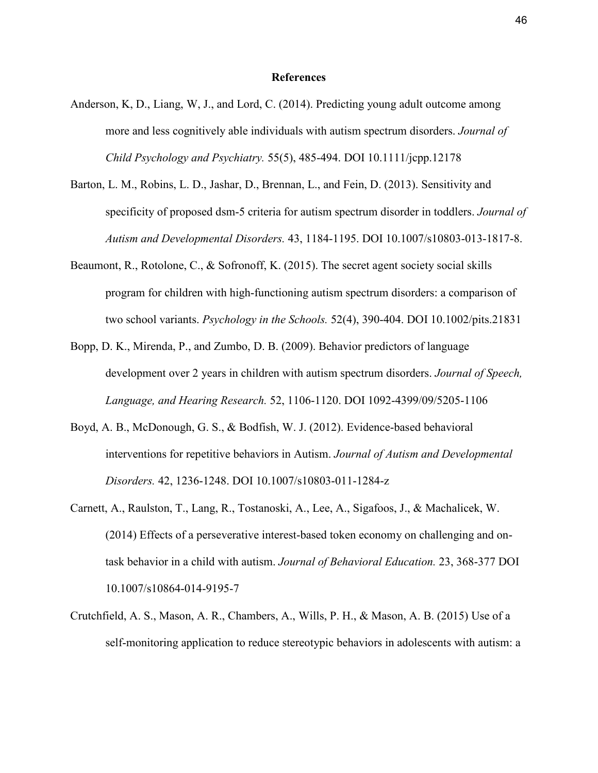#### **References**

- Anderson, K, D., Liang, W, J., and Lord, C. (2014). Predicting young adult outcome among more and less cognitively able individuals with autism spectrum disorders. *Journal of Child Psychology and Psychiatry.* 55(5), 485-494. DOI 10.1111/jcpp.12178
- Barton, L. M., Robins, L. D., Jashar, D., Brennan, L., and Fein, D. (2013). Sensitivity and specificity of proposed dsm-5 criteria for autism spectrum disorder in toddlers. *Journal of Autism and Developmental Disorders.* 43, 1184-1195. DOI 10.1007/s10803-013-1817-8.
- Beaumont, R., Rotolone, C., & Sofronoff, K. (2015). The secret agent society social skills program for children with high-functioning autism spectrum disorders: a comparison of two school variants. *Psychology in the Schools.* 52(4), 390-404. DOI 10.1002/pits.21831
- Bopp, D. K., Mirenda, P., and Zumbo, D. B. (2009). Behavior predictors of language development over 2 years in children with autism spectrum disorders. *Journal of Speech, Language, and Hearing Research.* 52, 1106-1120. DOI 1092-4399/09/5205-1106
- Boyd, A. B., McDonough, G. S., & Bodfish, W. J. (2012). Evidence-based behavioral interventions for repetitive behaviors in Autism. *Journal of Autism and Developmental Disorders.* 42, 1236-1248. DOI 10.1007/s10803-011-1284-z
- Carnett, A., Raulston, T., Lang, R., Tostanoski, A., Lee, A., Sigafoos, J., & Machalicek, W. (2014) Effects of a perseverative interest-based token economy on challenging and ontask behavior in a child with autism. *Journal of Behavioral Education.* 23, 368-377 DOI 10.1007/s10864-014-9195-7
- Crutchfield, A. S., Mason, A. R., Chambers, A., Wills, P. H., & Mason, A. B. (2015) Use of a self-monitoring application to reduce stereotypic behaviors in adolescents with autism: a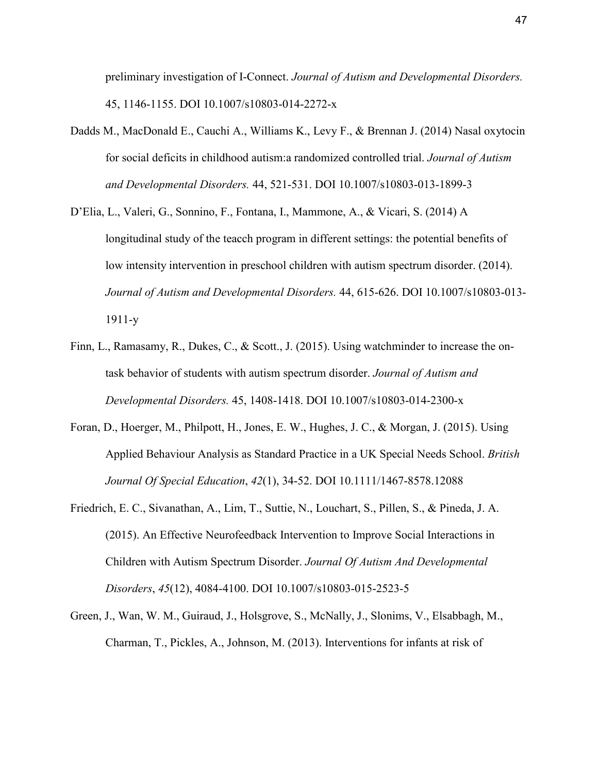preliminary investigation of I-Connect. *Journal of Autism and Developmental Disorders.*  45, 1146-1155. DOI 10.1007/s10803-014-2272-x

- Dadds M., MacDonald E., Cauchi A., Williams K., Levy F., & Brennan J. (2014) Nasal oxytocin for social deficits in childhood autism:a randomized controlled trial. *Journal of Autism and Developmental Disorders.* 44, 521-531. DOI 10.1007/s10803-013-1899-3
- D'Elia, L., Valeri, G., Sonnino, F., Fontana, I., Mammone, A., & Vicari, S. (2014) A longitudinal study of the teacch program in different settings: the potential benefits of low intensity intervention in preschool children with autism spectrum disorder. (2014). *Journal of Autism and Developmental Disorders.* 44, 615-626. DOI 10.1007/s10803-013- 1911-y
- Finn, L., Ramasamy, R., Dukes, C., & Scott., J. (2015). Using watchminder to increase the ontask behavior of students with autism spectrum disorder. *Journal of Autism and Developmental Disorders.* 45, 1408-1418. DOI 10.1007/s10803-014-2300-x
- Foran, D., Hoerger, M., Philpott, H., Jones, E. W., Hughes, J. C., & Morgan, J. (2015). Using Applied Behaviour Analysis as Standard Practice in a UK Special Needs School. *British Journal Of Special Education*, *42*(1), 34-52. DOI 10.1111/1467-8578.12088
- Friedrich, E. C., Sivanathan, A., Lim, T., Suttie, N., Louchart, S., Pillen, S., & Pineda, J. A. (2015). An Effective Neurofeedback Intervention to Improve Social Interactions in Children with Autism Spectrum Disorder. *Journal Of Autism And Developmental Disorders*, *45*(12), 4084-4100. DOI 10.1007/s10803-015-2523-5
- Green, J., Wan, W. M., Guiraud, J., Holsgrove, S., McNally, J., Slonims, V., Elsabbagh, M., Charman, T., Pickles, A., Johnson, M. (2013). Interventions for infants at risk of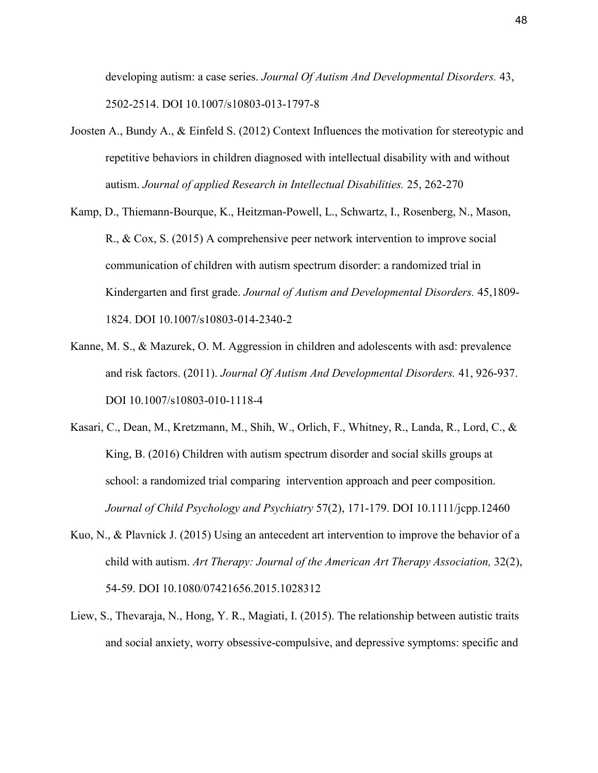developing autism: a case series. *Journal Of Autism And Developmental Disorders.* 43, 2502-2514. DOI 10.1007/s10803-013-1797-8

- Joosten A., Bundy A., & Einfeld S. (2012) Context Influences the motivation for stereotypic and repetitive behaviors in children diagnosed with intellectual disability with and without autism. *Journal of applied Research in Intellectual Disabilities.* 25, 262-270
- Kamp, D., Thiemann-Bourque, K., Heitzman-Powell, L., Schwartz, I., Rosenberg, N., Mason, R., & Cox, S. (2015) A comprehensive peer network intervention to improve social communication of children with autism spectrum disorder: a randomized trial in Kindergarten and first grade. *Journal of Autism and Developmental Disorders.* 45,1809- 1824. DOI 10.1007/s10803-014-2340-2
- Kanne, M. S., & Mazurek, O. M. Aggression in children and adolescents with asd: prevalence and risk factors. (2011). *Journal Of Autism And Developmental Disorders.* 41, 926-937. DOI 10.1007/s10803-010-1118-4
- Kasari, C., Dean, M., Kretzmann, M., Shih, W., Orlich, F., Whitney, R., Landa, R., Lord, C., & King, B. (2016) Children with autism spectrum disorder and social skills groups at school: a randomized trial comparing intervention approach and peer composition. *Journal of Child Psychology and Psychiatry* 57(2), 171-179. DOI 10.1111/jcpp.12460
- Kuo, N., & Plavnick J. (2015) Using an antecedent art intervention to improve the behavior of a child with autism. *Art Therapy: Journal of the American Art Therapy Association,* 32(2), 54-59. DOI 10.1080/07421656.2015.1028312
- Liew, S., Thevaraja, N., Hong, Y. R., Magiati, I. (2015). The relationship between autistic traits and social anxiety, worry obsessive-compulsive, and depressive symptoms: specific and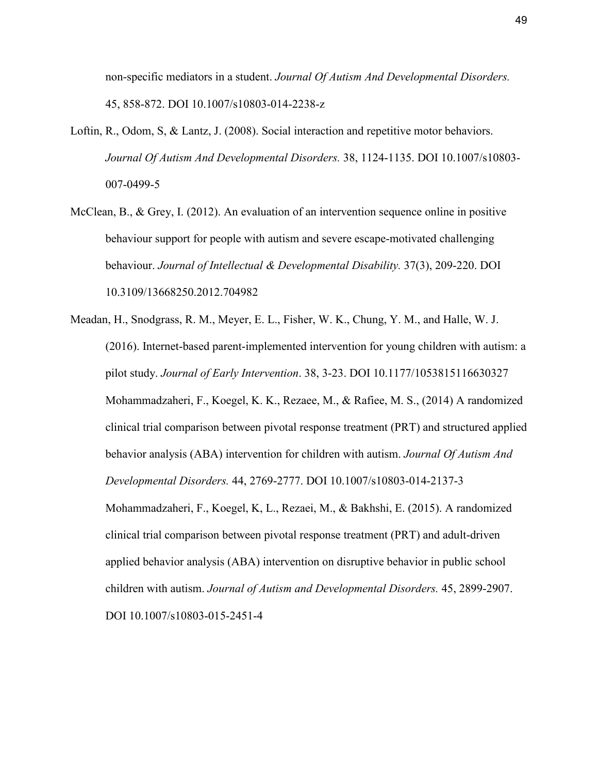non-specific mediators in a student. *Journal Of Autism And Developmental Disorders.*  45, 858-872. DOI 10.1007/s10803-014-2238-z

- Loftin, R., Odom, S. & Lantz, J. (2008). Social interaction and repetitive motor behaviors. *Journal Of Autism And Developmental Disorders.* 38, 1124-1135. DOI 10.1007/s10803- 007-0499-5
- McClean, B., & Grey, I. (2012). An evaluation of an intervention sequence online in positive behaviour support for people with autism and severe escape-motivated challenging behaviour. *Journal of Intellectual & Developmental Disability.* 37(3), 209-220. DOI 10.3109/13668250.2012.704982
- Meadan, H., Snodgrass, R. M., Meyer, E. L., Fisher, W. K., Chung, Y. M., and Halle, W. J. (2016). Internet-based parent-implemented intervention for young children with autism: a pilot study. *Journal of Early Intervention*. 38, 3-23. DOI 10.1177/1053815116630327 Mohammadzaheri, F., Koegel, K. K., Rezaee, M., & Rafiee, M. S., (2014) A randomized clinical trial comparison between pivotal response treatment (PRT) and structured applied behavior analysis (ABA) intervention for children with autism. *Journal Of Autism And Developmental Disorders.* 44, 2769-2777. DOI 10.1007/s10803-014-2137-3 Mohammadzaheri, F., Koegel, K, L., Rezaei, M., & Bakhshi, E. (2015). A randomized clinical trial comparison between pivotal response treatment (PRT) and adult-driven applied behavior analysis (ABA) intervention on disruptive behavior in public school children with autism. *Journal of Autism and Developmental Disorders.* 45, 2899-2907. DOI 10.1007/s10803-015-2451-4